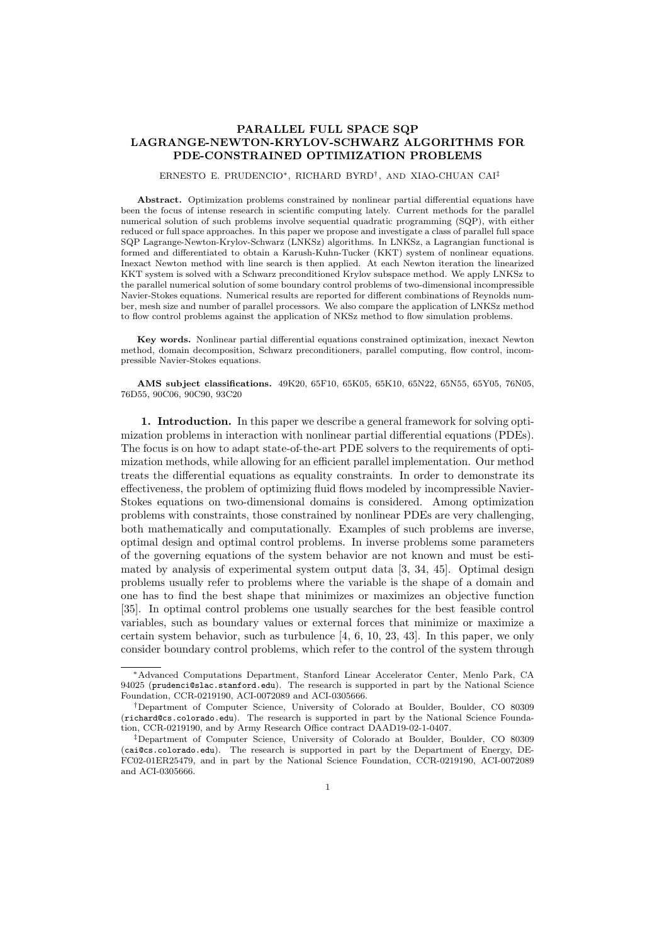# PARALLEL FULL SPACE SQP LAGRANGE-NEWTON-KRYLOV-SCHWARZ ALGORITHMS FOR PDE-CONSTRAINED OPTIMIZATION PROBLEMS

# ERNESTO E. PRUDENCIO∗, RICHARD BYRD† , AND XIAO-CHUAN CAI‡

Abstract. Optimization problems constrained by nonlinear partial differential equations have been the focus of intense research in scientific computing lately. Current methods for the parallel numerical solution of such problems involve sequential quadratic programming (SQP), with either reduced or full space approaches. In this paper we propose and investigate a class of parallel full space SQP Lagrange-Newton-Krylov-Schwarz (LNKSz) algorithms. In LNKSz, a Lagrangian functional is formed and differentiated to obtain a Karush-Kuhn-Tucker (KKT) system of nonlinear equations. Inexact Newton method with line search is then applied. At each Newton iteration the linearized KKT system is solved with a Schwarz preconditioned Krylov subspace method. We apply LNKSz to the parallel numerical solution of some boundary control problems of two-dimensional incompressible Navier-Stokes equations. Numerical results are reported for different combinations of Reynolds number, mesh size and number of parallel processors. We also compare the application of LNKSz method to flow control problems against the application of NKSz method to flow simulation problems.

Key words. Nonlinear partial differential equations constrained optimization, inexact Newton method, domain decomposition, Schwarz preconditioners, parallel computing, flow control, incompressible Navier-Stokes equations.

AMS subject classifications. 49K20, 65F10, 65K05, 65K10, 65N22, 65N55, 65Y05, 76N05, 76D55, 90C06, 90C90, 93C20

1. Introduction. In this paper we describe a general framework for solving optimization problems in interaction with nonlinear partial differential equations (PDEs). The focus is on how to adapt state-of-the-art PDE solvers to the requirements of optimization methods, while allowing for an efficient parallel implementation. Our method treats the differential equations as equality constraints. In order to demonstrate its effectiveness, the problem of optimizing fluid flows modeled by incompressible Navier-Stokes equations on two-dimensional domains is considered. Among optimization problems with constraints, those constrained by nonlinear PDEs are very challenging, both mathematically and computationally. Examples of such problems are inverse, optimal design and optimal control problems. In inverse problems some parameters of the governing equations of the system behavior are not known and must be estimated by analysis of experimental system output data [3, 34, 45]. Optimal design problems usually refer to problems where the variable is the shape of a domain and one has to find the best shape that minimizes or maximizes an objective function [35]. In optimal control problems one usually searches for the best feasible control variables, such as boundary values or external forces that minimize or maximize a certain system behavior, such as turbulence [4, 6, 10, 23, 43]. In this paper, we only consider boundary control problems, which refer to the control of the system through

<sup>∗</sup>Advanced Computations Department, Stanford Linear Accelerator Center, Menlo Park, CA 94025 (prudenci@slac.stanford.edu). The research is supported in part by the National Science Foundation, CCR-0219190, ACI-0072089 and ACI-0305666.

<sup>†</sup>Department of Computer Science, University of Colorado at Boulder, Boulder, CO 80309 (richard@cs.colorado.edu). The research is supported in part by the National Science Foundation, CCR-0219190, and by Army Research Office contract DAAD19-02-1-0407.

<sup>‡</sup>Department of Computer Science, University of Colorado at Boulder, Boulder, CO 80309 (cai@cs.colorado.edu). The research is supported in part by the Department of Energy, DE-FC02-01ER25479, and in part by the National Science Foundation, CCR-0219190, ACI-0072089 and ACI-0305666.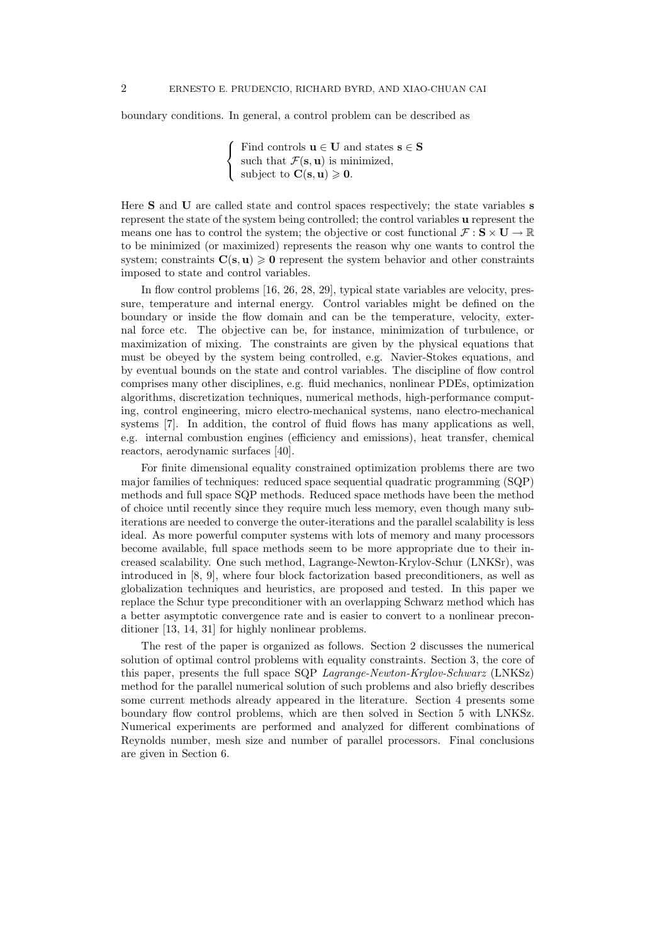boundary conditions. In general, a control problem can be described as

 $\sqrt{ }$ J  $\mathcal{L}$ Find controls  $\mathbf{u} \in \mathbf{U}$  and states  $\mathbf{s} \in \mathbf{S}$ such that  $\mathcal{F}(\mathbf{s}, \mathbf{u})$  is minimized, subject to  $\mathbf{C}(\mathbf{s}, \mathbf{u}) \geqslant \mathbf{0}$ .

Here S and U are called state and control spaces respectively; the state variables s represent the state of the system being controlled; the control variables u represent the means one has to control the system; the objective or cost functional  $\mathcal{F}: \mathbf{S} \times \mathbf{U} \to \mathbb{R}$ to be minimized (or maximized) represents the reason why one wants to control the system; constraints  $C(s, u) \ge 0$  represent the system behavior and other constraints imposed to state and control variables.

In flow control problems [16, 26, 28, 29], typical state variables are velocity, pressure, temperature and internal energy. Control variables might be defined on the boundary or inside the flow domain and can be the temperature, velocity, external force etc. The objective can be, for instance, minimization of turbulence, or maximization of mixing. The constraints are given by the physical equations that must be obeyed by the system being controlled, e.g. Navier-Stokes equations, and by eventual bounds on the state and control variables. The discipline of flow control comprises many other disciplines, e.g. fluid mechanics, nonlinear PDEs, optimization algorithms, discretization techniques, numerical methods, high-performance computing, control engineering, micro electro-mechanical systems, nano electro-mechanical systems [7]. In addition, the control of fluid flows has many applications as well, e.g. internal combustion engines (efficiency and emissions), heat transfer, chemical reactors, aerodynamic surfaces [40].

For finite dimensional equality constrained optimization problems there are two major families of techniques: reduced space sequential quadratic programming (SQP) methods and full space SQP methods. Reduced space methods have been the method of choice until recently since they require much less memory, even though many subiterations are needed to converge the outer-iterations and the parallel scalability is less ideal. As more powerful computer systems with lots of memory and many processors become available, full space methods seem to be more appropriate due to their increased scalability. One such method, Lagrange-Newton-Krylov-Schur (LNKSr), was introduced in [8, 9], where four block factorization based preconditioners, as well as globalization techniques and heuristics, are proposed and tested. In this paper we replace the Schur type preconditioner with an overlapping Schwarz method which has a better asymptotic convergence rate and is easier to convert to a nonlinear preconditioner [13, 14, 31] for highly nonlinear problems.

The rest of the paper is organized as follows. Section 2 discusses the numerical solution of optimal control problems with equality constraints. Section 3, the core of this paper, presents the full space SQP Lagrange-Newton-Krylov-Schwarz (LNKSz) method for the parallel numerical solution of such problems and also briefly describes some current methods already appeared in the literature. Section 4 presents some boundary flow control problems, which are then solved in Section 5 with LNKSz. Numerical experiments are performed and analyzed for different combinations of Reynolds number, mesh size and number of parallel processors. Final conclusions are given in Section 6.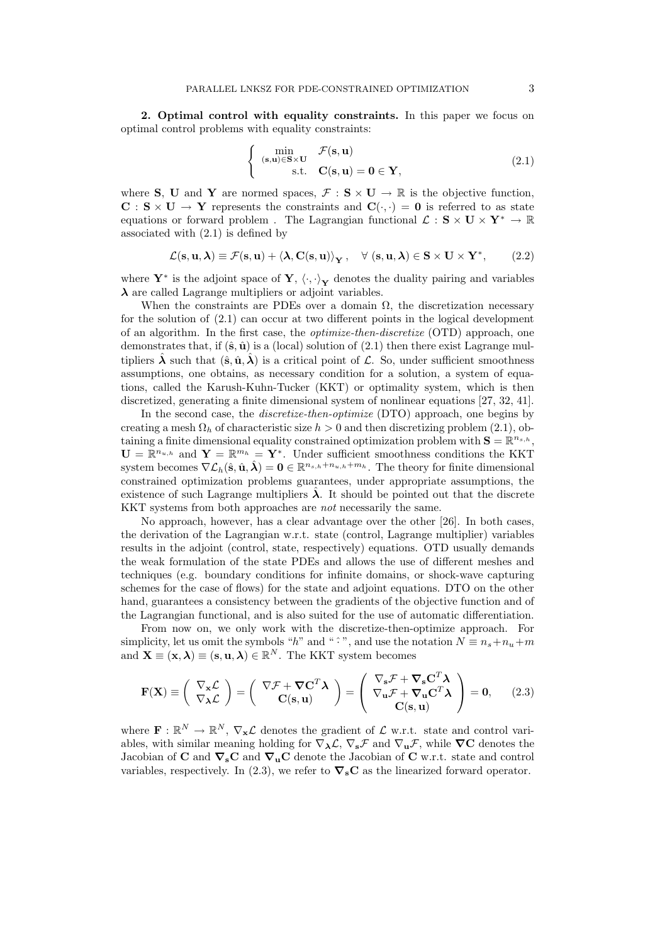2. Optimal control with equality constraints. In this paper we focus on optimal control problems with equality constraints:

$$
\begin{cases}\n\min_{(\mathbf{s}, \mathbf{u}) \in \mathbf{S} \times \mathbf{U}} & \mathcal{F}(\mathbf{s}, \mathbf{u}) \\
\text{s.t.} & \mathbf{C}(\mathbf{s}, \mathbf{u}) = \mathbf{0} \in \mathbf{Y},\n\end{cases}
$$
\n(2.1)

where **S**, **U** and **Y** are normed spaces,  $\mathcal{F} : \mathbf{S} \times \mathbf{U} \to \mathbb{R}$  is the objective function,  $C : S \times U \to Y$  represents the constraints and  $C(\cdot, \cdot) = 0$  is referred to as state equations or forward problem . The Lagrangian functional  $\mathcal{L} : S \times U \times Y^* \to \mathbb{R}$ associated with (2.1) is defined by

$$
\mathcal{L}(\mathbf{s}, \mathbf{u}, \boldsymbol{\lambda}) \equiv \mathcal{F}(\mathbf{s}, \mathbf{u}) + \left\langle \boldsymbol{\lambda}, \mathbf{C}(\mathbf{s}, \mathbf{u}) \right\rangle_{\mathbf{Y}}, \quad \forall \ (\mathbf{s}, \mathbf{u}, \boldsymbol{\lambda}) \in \mathbf{S} \times \mathbf{U} \times \mathbf{Y}^*, \tag{2.2}
$$

where  $\mathbf{Y}^*$  is the adjoint space of  $\mathbf{Y}, \langle \cdot, \cdot \rangle_{\mathbf{Y}}$  denotes the duality pairing and variables  $\lambda$  are called Lagrange multipliers or adjoint variables.

When the constraints are PDEs over a domain  $\Omega$ , the discretization necessary for the solution of (2.1) can occur at two different points in the logical development of an algorithm. In the first case, the optimize-then-discretize (OTD) approach, one demonstrates that, if  $(\hat{\mathbf{s}}, \hat{\mathbf{u}})$  is a (local) solution of (2.1) then there exist Lagrange multipliers  $\hat{\lambda}$  such that  $(\hat{\mathbf{s}}, \hat{\mathbf{u}}, \hat{\lambda})$  is a critical point of  $\mathcal{L}$ . So, under sufficient smoothness assumptions, one obtains, as necessary condition for a solution, a system of equations, called the Karush-Kuhn-Tucker (KKT) or optimality system, which is then discretized, generating a finite dimensional system of nonlinear equations [27, 32, 41].

In the second case, the discretize-then-optimize (DTO) approach, one begins by creating a mesh  $\Omega_h$  of characteristic size  $h > 0$  and then discretizing problem (2.1), obtaining a finite dimensional equality constrained optimization problem with  $\mathbf{S} = \mathbb{R}^{n_{s,h}},$  $\mathbf{U} = \mathbb{R}^{n_{u,h}}$  and  $\mathbf{Y} = \mathbb{R}^{m_h} = \mathbf{Y}^*$ . Under sufficient smoothness conditions the KKT system becomes  $\nabla \mathcal{L}_h(\hat{\mathbf{s}}, \hat{\mathbf{u}}, \hat{\boldsymbol{\lambda}}) = \mathbf{0} \in \mathbb{R}^{n_{s,h}+n_{u,h}+m_h}$ . The theory for finite dimensional constrained optimization problems guarantees, under appropriate assumptions, the existence of such Lagrange multipliers  $\lambda$ . It should be pointed out that the discrete KKT systems from both approaches are not necessarily the same.

No approach, however, has a clear advantage over the other [26]. In both cases, the derivation of the Lagrangian w.r.t. state (control, Lagrange multiplier) variables results in the adjoint (control, state, respectively) equations. OTD usually demands the weak formulation of the state PDEs and allows the use of different meshes and techniques (e.g. boundary conditions for infinite domains, or shock-wave capturing schemes for the case of flows) for the state and adjoint equations. DTO on the other hand, guarantees a consistency between the gradients of the objective function and of the Lagrangian functional, and is also suited for the use of automatic differentiation.

From now on, we only work with the discretize-then-optimize approach. For simplicity, let us omit the symbols " $h$ " and "  $\hat{\cdot}$ ", and use the notation  $N \equiv n_s + n_u + m$ and  $\mathbf{X} \equiv (\mathbf{x}, \boldsymbol{\lambda}) \equiv (\mathbf{s}, \mathbf{u}, \boldsymbol{\lambda}) \in \mathbb{R}^N$ . The KKT system becomes

$$
\mathbf{F}(\mathbf{X}) \equiv \begin{pmatrix} \nabla_{\mathbf{x}} \mathcal{L} \\ \nabla_{\mathbf{\lambda}} \mathcal{L} \end{pmatrix} = \begin{pmatrix} \nabla \mathcal{F} + \nabla \mathbf{C}^T \mathbf{\lambda} \\ \nabla (\mathbf{s}, \mathbf{u}) \end{pmatrix} = \begin{pmatrix} \nabla_{\mathbf{s}} \mathcal{F} + \nabla_{\mathbf{s}} \mathbf{C}^T \mathbf{\lambda} \\ \nabla_{\mathbf{u}} \mathcal{F} + \nabla_{\mathbf{u}} \mathbf{C}^T \mathbf{\lambda} \\ \nabla (\mathbf{s}, \mathbf{u}) \end{pmatrix} = \mathbf{0}, \qquad (2.3)
$$

where  $\mathbf{F} : \mathbb{R}^N \to \mathbb{R}^N$ ,  $\nabla_{\mathbf{x}} \mathcal{L}$  denotes the gradient of  $\mathcal{L}$  w.r.t. state and control variables, with similar meaning holding for  $\nabla_{\lambda} \mathcal{L}, \nabla_{\mathbf{s}} \mathcal{F}$  and  $\nabla_{\mathbf{u}} \mathcal{F}$ , while  $\nabla C$  denotes the Jacobian of C and  $\nabla_s$ C and  $\nabla_u$ C denote the Jacobian of C w.r.t. state and control variables, respectively. In (2.3), we refer to  $\nabla_{\mathbf{s}}\mathbf{C}$  as the linearized forward operator.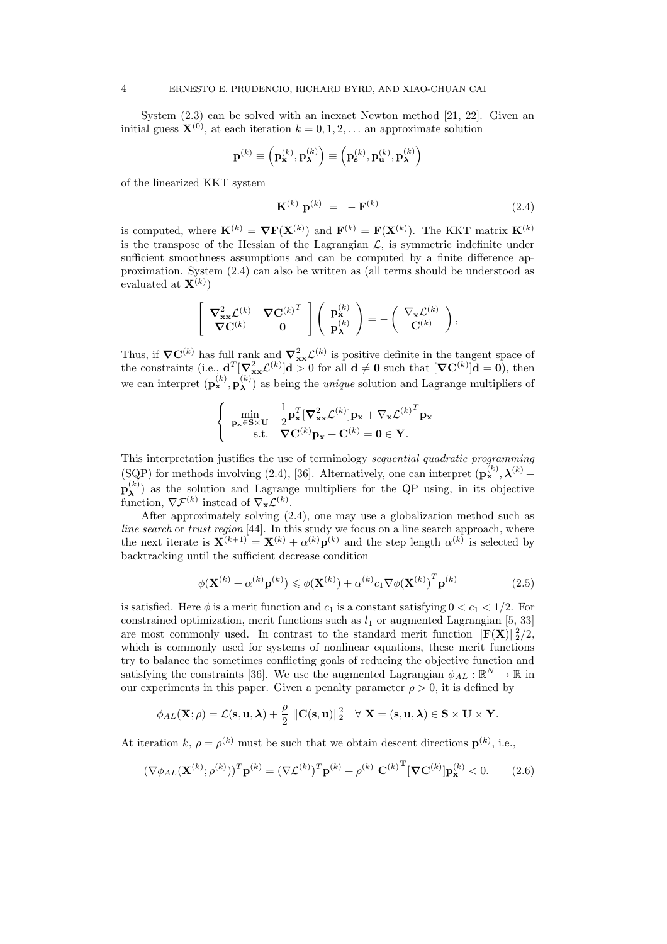System (2.3) can be solved with an inexact Newton method [21, 22]. Given an initial guess  $\mathbf{X}^{(0)}$ , at each iteration  $k = 0, 1, 2, \dots$  an approximate solution

$$
\mathbf{p}^{(k)}\equiv\left(\mathbf{p}_{\mathbf{x}}^{(k)},\mathbf{p}_{\boldsymbol{\lambda}}^{(k)}\right)\equiv\left(\mathbf{p}_{\mathbf{s}}^{(k)},\mathbf{p}_{\mathbf{u}}^{(k)},\mathbf{p}_{\boldsymbol{\lambda}}^{(k)}\right)
$$

of the linearized KKT system

$$
\mathbf{K}^{(k)} \ \mathbf{p}^{(k)} = -\mathbf{F}^{(k)} \tag{2.4}
$$

is computed, where  $\mathbf{K}^{(k)} = \nabla \mathbf{F}(\mathbf{X}^{(k)})$  and  $\mathbf{F}^{(k)} = \mathbf{F}(\mathbf{X}^{(k)})$ . The KKT matrix  $\mathbf{K}^{(k)}$ is the transpose of the Hessian of the Lagrangian  $\mathcal{L}$ , is symmetric indefinite under sufficient smoothness assumptions and can be computed by a finite difference approximation. System (2.4) can also be written as (all terms should be understood as evaluated at  $\mathbf{X}^{(k)}$ )

$$
\left[\begin{array}{cc} \boldsymbol{\nabla}^2_{\mathbf{x}\mathbf{x}} \mathcal{L}^{(k)} & \boldsymbol{\nabla} \mathbf{C}^{(k)\,^T}\\ \boldsymbol{\nabla} \mathbf{C}^{(k)} & \mathbf{0} \end{array}\right] \left(\begin{array}{c} \mathbf{p}^{(k)}_{\mathbf{x}} \\ \mathbf{p}^{(k)}_{\mathbf{\lambda}} \end{array}\right) = -\left(\begin{array}{c} \nabla_{\mathbf{x}} \mathcal{L}^{(k)} \\ \mathbf{C}^{(k)} \end{array}\right),
$$

Thus, if  $\nabla C^{(k)}$  has full rank and  $\nabla_{xx}^2 \mathcal{L}^{(k)}$  is positive definite in the tangent space of the constraints (i.e.,  $\mathbf{d}^T [\nabla_{\mathbf{x}\mathbf{x}}^2 \mathcal{L}^{(k)}] \mathbf{d} > 0$  for all  $\mathbf{d} \neq \mathbf{0}$  such that  $[\nabla \mathbf{C}^{(k)}] \mathbf{d} = \mathbf{0}$ ), then we can interpret  $(\mathbf{p}_{\mathbf{x}}^{(k)}, \mathbf{p}_{\mathbf{\lambda}}^{(k)})$  $\lambda^{(k)}$ ) as being the *unique* solution and Lagrange multipliers of

$$
\begin{cases} \min_{\mathbf{p_x} \in \mathbf{S} \times \mathbf{U}} & \frac{1}{2} \mathbf{p_x}^T [\nabla_{\mathbf{x} \mathbf{x}}^2 \mathcal{L}^{(k)}] \mathbf{p_x} + \nabla_{\mathbf{x}} \mathcal{L}^{(k)}^T \mathbf{p_x} \\ \text{s.t.} & \nabla \mathbf{C}^{(k)} \mathbf{p_x} + \mathbf{C}^{(k)} = \mathbf{0} \in \mathbf{Y}. \end{cases}
$$

This interpretation justifies the use of terminology sequential quadratic programming (SQP) for methods involving (2.4), [36]. Alternatively, one can interpret  $(\mathbf{p}_{\mathbf{x}}^{(k)}, \boldsymbol{\lambda}^{(k)}$  +  $\mathbf{p}_{\boldsymbol{\lambda}}^{(k)}$  $\lambda$ ) as the solution and Lagrange multipliers for the QP using, in its objective function,  $\nabla \mathcal{F}^{(k)}$  instead of  $\nabla_{\mathbf{x}} \mathcal{L}^{(k)}$ .

After approximately solving (2.4), one may use a globalization method such as line search or trust region [44]. In this study we focus on a line search approach, where the next iterate is  $\mathbf{X}^{(k+1)} = \mathbf{X}^{(k)} + \alpha^{(k)} \mathbf{p}^{(k)}$  and the step length  $\alpha^{(k)}$  is selected by backtracking until the sufficient decrease condition

$$
\phi(\mathbf{X}^{(k)} + \alpha^{(k)} \mathbf{p}^{(k)}) \leq \phi(\mathbf{X}^{(k)}) + \alpha^{(k)} c_1 \nabla \phi(\mathbf{X}^{(k)})^T \mathbf{p}^{(k)}
$$
(2.5)

is satisfied. Here  $\phi$  is a merit function and  $c_1$  is a constant satisfying  $0 < c_1 < 1/2$ . For constrained optimization, merit functions such as  $l_1$  or augmented Lagrangian [5, 33] are most commonly used. In contrast to the standard merit function  $\|\mathbf{F}(\mathbf{X})\|_2^2/2$ , which is commonly used for systems of nonlinear equations, these merit functions try to balance the sometimes conflicting goals of reducing the objective function and satisfying the constraints [36]. We use the augmented Lagrangian  $\phi_{AL} : \mathbb{R}^N \to \mathbb{R}$  in our experiments in this paper. Given a penalty parameter  $\rho > 0$ , it is defined by

$$
\phi_{AL}(\mathbf{X};\rho)=\mathcal{L}(\mathbf{s},\mathbf{u},\boldsymbol{\lambda})+\frac{\rho}{2}\|\mathbf{C}(\mathbf{s},\mathbf{u})\|_2^2 \quad \forall \mathbf{X}=(\mathbf{s},\mathbf{u},\boldsymbol{\lambda})\in \mathbf{S}\times\mathbf{U}\times\mathbf{Y}.
$$

At iteration k,  $\rho = \rho^{(k)}$  must be such that we obtain descent directions  $\mathbf{p}^{(k)}$ , i.e.,

$$
(\nabla \phi_{AL}(\mathbf{X}^{(k)};\rho^{(k)}))^T \mathbf{p}^{(k)} = (\nabla \mathcal{L}^{(k)})^T \mathbf{p}^{(k)} + \rho^{(k)} \mathbf{C}^{(k)}^T [\nabla \mathbf{C}^{(k)}] \mathbf{p}_{\mathbf{x}}^{(k)} < 0. \tag{2.6}
$$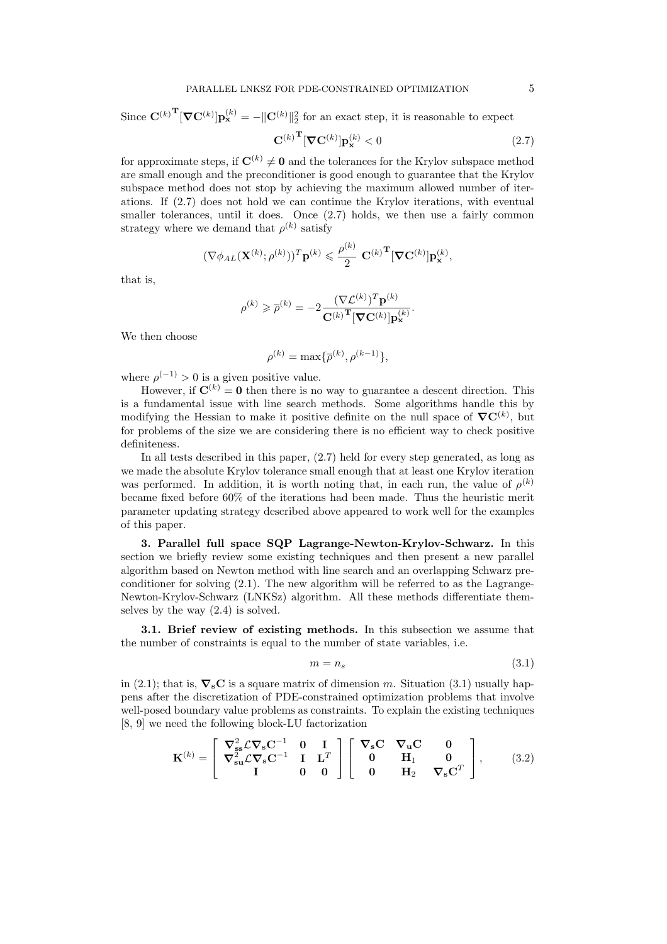Since 
$$
\mathbf{C}^{(k)}^{\mathbf{T}}[\nabla \mathbf{C}^{(k)}]\mathbf{p}_{\mathbf{x}}^{(k)} = -\|\mathbf{C}^{(k)}\|_{2}^{2}
$$
 for an exact step, it is reasonable to expect  

$$
\mathbf{C}^{(k)}^{\mathbf{T}}[\nabla \mathbf{C}^{(k)}]\mathbf{p}_{\mathbf{x}}^{(k)} < 0
$$
(2.7)

for approximate steps, if  $\mathbf{C}^{(k)} \neq \mathbf{0}$  and the tolerances for the Krylov subspace method are small enough and the preconditioner is good enough to guarantee that the Krylov subspace method does not stop by achieving the maximum allowed number of iterations. If (2.7) does not hold we can continue the Krylov iterations, with eventual smaller tolerances, until it does. Once  $(2.7)$  holds, we then use a fairly common strategy where we demand that  $\rho^{(k)}$  satisfy

$$
(\nabla \phi_{AL}(\mathbf{X}^{(k)};\rho^{(k)}))^T \mathbf{p}^{(k)} \leqslant \frac{\rho^{(k)}}{2} \mathbf{C}^{(k)}^{\mathbf{T}} [\nabla \mathbf{C}^{(k)}] \mathbf{p}_{\mathbf{x}}^{(k)},
$$

that is,

$$
\rho^{(k)} \geqslant \overline{\rho}^{(k)} = -2 \frac{(\nabla \mathcal{L}^{(k)})^T \mathbf{p}^{(k)}}{\mathbf{C}^{(k)}} \mathbf{\overline{[V C^{(k)}]p}^{(k)}}.
$$

We then choose

$$
\rho^{(k)} = \max\{\overline{\rho}^{(k)}, \rho^{(k-1)}\},\
$$

where  $\rho^{(-1)} > 0$  is a given positive value.

However, if  $\mathbf{C}^{(k)} = \mathbf{0}$  then there is no way to guarantee a descent direction. This is a fundamental issue with line search methods. Some algorithms handle this by modifying the Hessian to make it positive definite on the null space of  $\nabla \mathbf{C}^{(k)}$ , but for problems of the size we are considering there is no efficient way to check positive definiteness.

In all tests described in this paper, (2.7) held for every step generated, as long as we made the absolute Krylov tolerance small enough that at least one Krylov iteration was performed. In addition, it is worth noting that, in each run, the value of  $\rho^{(k)}$ became fixed before 60% of the iterations had been made. Thus the heuristic merit parameter updating strategy described above appeared to work well for the examples of this paper.

3. Parallel full space SQP Lagrange-Newton-Krylov-Schwarz. In this section we briefly review some existing techniques and then present a new parallel algorithm based on Newton method with line search and an overlapping Schwarz preconditioner for solving (2.1). The new algorithm will be referred to as the Lagrange-Newton-Krylov-Schwarz (LNKSz) algorithm. All these methods differentiate themselves by the way (2.4) is solved.

3.1. Brief review of existing methods. In this subsection we assume that the number of constraints is equal to the number of state variables, i.e.

$$
m = n_s \tag{3.1}
$$

in (2.1); that is,  $\nabla_{\mathbf{s}}\mathbf{C}$  is a square matrix of dimension m. Situation (3.1) usually happens after the discretization of PDE-constrained optimization problems that involve well-posed boundary value problems as constraints. To explain the existing techniques [8, 9] we need the following block-LU factorization

$$
\mathbf{K}^{(k)} = \begin{bmatrix} \nabla_{\mathbf{s}\mathbf{s}}^2 \mathcal{L}\nabla_{\mathbf{s}}\mathbf{C}^{-1} & \mathbf{0} & \mathbf{I} \\ \nabla_{\mathbf{s}\mathbf{u}}^2 \mathcal{L}\nabla_{\mathbf{s}}\mathbf{C}^{-1} & \mathbf{I} & \mathbf{L}^T \\ \mathbf{I} & \mathbf{0} & \mathbf{0} \end{bmatrix} \begin{bmatrix} \nabla_{\mathbf{s}}\mathbf{C} & \nabla_{\mathbf{u}}\mathbf{C} & \mathbf{0} \\ \mathbf{0} & \mathbf{H}_1 & \mathbf{0} \\ \mathbf{0} & \mathbf{H}_2 & \nabla_{\mathbf{s}}\mathbf{C}^T \end{bmatrix}, \qquad (3.2)
$$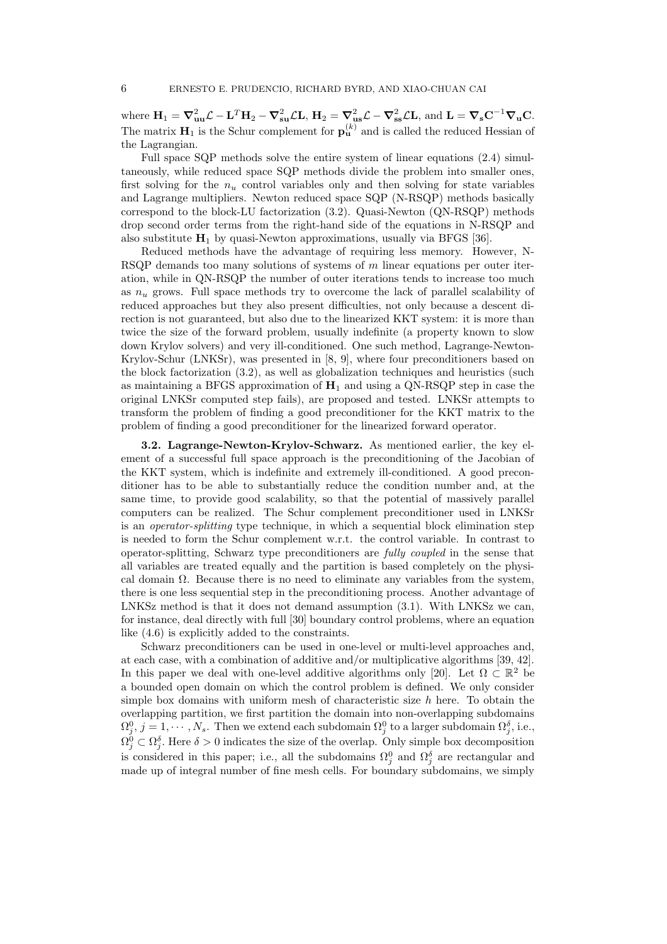where  $\mathbf{H}_1 = \nabla_{\mathbf{u}\mathbf{u}}^2 \mathcal{L} - \mathbf{L}^T \mathbf{H}_2 - \nabla_{\mathbf{s}\mathbf{u}}^2 \mathcal{L} \mathbf{L}, \, \mathbf{H}_2 = \nabla_{\mathbf{u}\mathbf{s}}^2 \mathcal{L} - \nabla_{\mathbf{s}\mathbf{s}}^2 \mathcal{L} \mathbf{L}, \text{ and } \mathbf{L} = \nabla_{\mathbf{s}} \mathbf{C}^{-1} \nabla_{\mathbf{u}} \mathbf{C}.$ The matrix  $\mathbf{H}_1$  is the Schur complement for  $\mathbf{p}_{\mathbf{u}}^{(k)}$  and is called the reduced Hessian of the Lagrangian.

Full space SQP methods solve the entire system of linear equations (2.4) simultaneously, while reduced space SQP methods divide the problem into smaller ones, first solving for the  $n_u$  control variables only and then solving for state variables and Lagrange multipliers. Newton reduced space SQP (N-RSQP) methods basically correspond to the block-LU factorization (3.2). Quasi-Newton (QN-RSQP) methods drop second order terms from the right-hand side of the equations in N-RSQP and also substitute  $H_1$  by quasi-Newton approximations, usually via BFGS [36].

Reduced methods have the advantage of requiring less memory. However, N-RSQP demands too many solutions of systems of  $m$  linear equations per outer iteration, while in QN-RSQP the number of outer iterations tends to increase too much as  $n_u$  grows. Full space methods try to overcome the lack of parallel scalability of reduced approaches but they also present difficulties, not only because a descent direction is not guaranteed, but also due to the linearized KKT system: it is more than twice the size of the forward problem, usually indefinite (a property known to slow down Krylov solvers) and very ill-conditioned. One such method, Lagrange-Newton-Krylov-Schur (LNKSr), was presented in [8, 9], where four preconditioners based on the block factorization (3.2), as well as globalization techniques and heuristics (such as maintaining a BFGS approximation of  $H_1$  and using a QN-RSQP step in case the original LNKSr computed step fails), are proposed and tested. LNKSr attempts to transform the problem of finding a good preconditioner for the KKT matrix to the problem of finding a good preconditioner for the linearized forward operator.

3.2. Lagrange-Newton-Krylov-Schwarz. As mentioned earlier, the key element of a successful full space approach is the preconditioning of the Jacobian of the KKT system, which is indefinite and extremely ill-conditioned. A good preconditioner has to be able to substantially reduce the condition number and, at the same time, to provide good scalability, so that the potential of massively parallel computers can be realized. The Schur complement preconditioner used in LNKSr is an operator-splitting type technique, in which a sequential block elimination step is needed to form the Schur complement w.r.t. the control variable. In contrast to operator-splitting, Schwarz type preconditioners are fully coupled in the sense that all variables are treated equally and the partition is based completely on the physical domain  $\Omega$ . Because there is no need to eliminate any variables from the system, there is one less sequential step in the preconditioning process. Another advantage of LNKSz method is that it does not demand assumption (3.1). With LNKSz we can, for instance, deal directly with full [30] boundary control problems, where an equation like (4.6) is explicitly added to the constraints.

Schwarz preconditioners can be used in one-level or multi-level approaches and, at each case, with a combination of additive and/or multiplicative algorithms [39, 42]. In this paper we deal with one-level additive algorithms only [20]. Let  $\Omega \subset \mathbb{R}^2$  be a bounded open domain on which the control problem is defined. We only consider simple box domains with uniform mesh of characteristic size  $h$  here. To obtain the overlapping partition, we first partition the domain into non-overlapping subdomains  $\Omega_j^0$ ,  $j = 1, \dots, N_s$ . Then we extend each subdomain  $\Omega_j^0$  to a larger subdomain  $\Omega_j^{\delta}$ , i.e.,  $\Omega_j^0 \subset \Omega_j^{\delta}$ . Here  $\delta > 0$  indicates the size of the overlap. Only simple box decomposition is considered in this paper; i.e., all the subdomains  $\Omega_j^0$  and  $\Omega_j^{\delta}$  are rectangular and made up of integral number of fine mesh cells. For boundary subdomains, we simply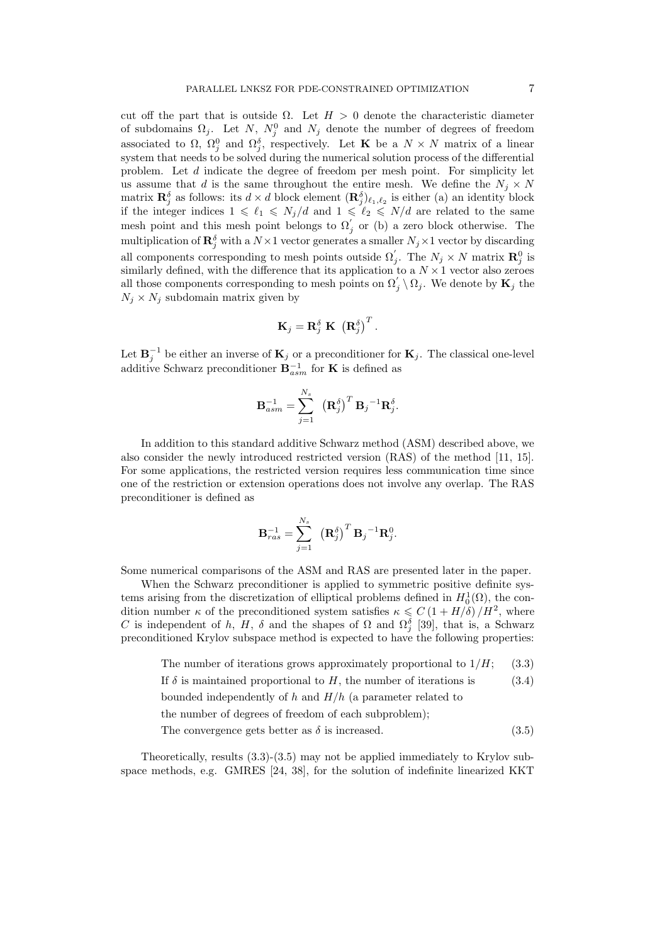cut off the part that is outside  $\Omega$ . Let  $H > 0$  denote the characteristic diameter of subdomains  $\Omega_j$ . Let N,  $N_j^0$  and  $N_j$  denote the number of degrees of freedom associated to  $\Omega$ ,  $\Omega_j^0$  and  $\Omega_j^{\delta}$ , respectively. Let **K** be a  $N \times N$  matrix of a linear system that needs to be solved during the numerical solution process of the differential problem. Let d indicate the degree of freedom per mesh point. For simplicity let us assume that d is the same throughout the entire mesh. We define the  $N_i \times N$ matrix  $\mathbf{R}_j^{\delta}$  as follows: its  $d \times d$  block element  $(\mathbf{R}_j^{\delta})_{\ell_1,\ell_2}$  is either (a) an identity block if the integer indices  $1 \le \ell_1 \le N_j/d$  and  $1 \le \ell_2 \le N/d$  are related to the same mesh point and this mesh point belongs to  $\Omega'_{j}$  or (b) a zero block otherwise. The multiplication of  $\mathbf{R}_j^{\delta}$  with a  $N \times 1$  vector generates a smaller  $N_j \times 1$  vector by discarding all components corresponding to mesh points outside  $\Omega'_{j}$ . The  $N_{j} \times N$  matrix  $\mathbf{R}_{j}^{0}$  is similarly defined, with the difference that its application to a  $N \times 1$  vector also zeroes all those components corresponding to mesh points on  $\Omega'_j \setminus \Omega_j$ . We denote by  $\mathbf{K}_j$  the  $N_j \times N_j$  subdomain matrix given by

$$
\mathbf{K}_{j}=\mathbf{R}_{j}^{\delta}\mathbf{K}\left(\mathbf{R}_{j}^{\delta}\right)^{T}.
$$

Let  $\mathbf{B}_j^{-1}$  be either an inverse of  $\mathbf{K}_j$  or a preconditioner for  $\mathbf{K}_j$ . The classical one-level additive Schwarz preconditioner  **for <b>K** is defined as

$$
\mathbf{B}_{asm}^{-1} = \sum_{j=1}^{N_s} \left(\mathbf{R}_j^{\delta}\right)^T \mathbf{B}_j^{-1} \mathbf{R}_j^{\delta}.
$$

In addition to this standard additive Schwarz method (ASM) described above, we also consider the newly introduced restricted version (RAS) of the method [11, 15]. For some applications, the restricted version requires less communication time since one of the restriction or extension operations does not involve any overlap. The RAS preconditioner is defined as

$$
\mathbf{B}_{ras}^{-1} = \sum_{j=1}^{N_s} \left( \mathbf{R}_j^{\delta} \right)^T \mathbf{B}_j^{-1} \mathbf{R}_j^0.
$$

Some numerical comparisons of the ASM and RAS are presented later in the paper.

When the Schwarz preconditioner is applied to symmetric positive definite systems arising from the discretization of elliptical problems defined in  $H_0^1(\Omega)$ , the condition number  $\kappa$  of the preconditioned system satisfies  $\kappa \leq C \left(1 + H/\delta\right) / H^2$ , where C is independent of h, H,  $\delta$  and the shapes of  $\Omega$  and  $\Omega_j^{\delta}$  [39], that is, a Schwarz preconditioned Krylov subspace method is expected to have the following properties:

The number of iterations grows approximately proportional to  $1/H$ ; (3.3)

If  $\delta$  is maintained proportional to H, the number of iterations is (3.4)

bounded independently of h and  $H/h$  (a parameter related to

the number of degrees of freedom of each subproblem);

The convergence gets better as  $\delta$  is increased. (3.5)

Theoretically, results (3.3)-(3.5) may not be applied immediately to Krylov subspace methods, e.g. GMRES [24, 38], for the solution of indefinite linearized KKT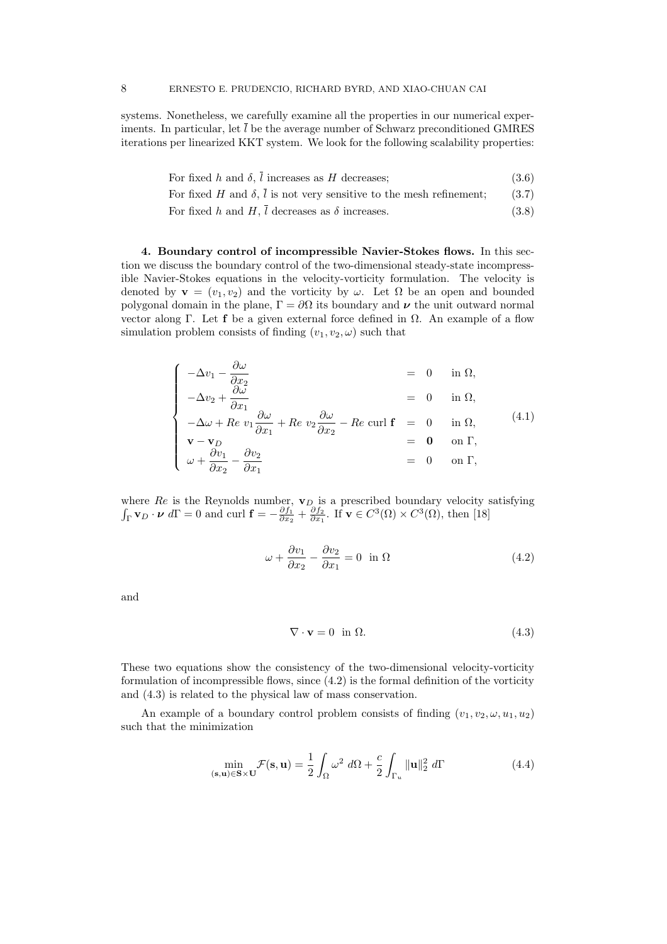systems. Nonetheless, we carefully examine all the properties in our numerical experiments. In particular, let  $\bar{l}$  be the average number of Schwarz preconditioned GMRES iterations per linearized KKT system. We look for the following scalability properties:

| For fixed h and $\delta$ , l increases as H decreases;                                  | (3.6) |
|-----------------------------------------------------------------------------------------|-------|
| For fixed H and $\delta$ , $\overline{l}$ is not very sensitive to the mesh refinement; | (3.7) |
| For fixed h and H, l decreases as $\delta$ increases.                                   | (3.8) |

4. Boundary control of incompressible Navier-Stokes flows. In this section we discuss the boundary control of the two-dimensional steady-state incompressible Navier-Stokes equations in the velocity-vorticity formulation. The velocity is denoted by  $\mathbf{v} = (v_1, v_2)$  and the vorticity by  $\omega$ . Let  $\Omega$  be an open and bounded polygonal domain in the plane,  $\Gamma = \partial \Omega$  its boundary and  $\nu$  the unit outward normal vector along Γ. Let **f** be a given external force defined in  $Ω$ . An example of a flow simulation problem consists of finding  $(v_1, v_2, \omega)$  such that

$$
\begin{cases}\n-\Delta v_1 - \frac{\partial \omega}{\partial x_2} & = 0 \quad \text{in } \Omega, \\
-\Delta v_2 + \frac{\partial \omega}{\partial x_1} & = 0 \quad \text{in } \Omega, \\
-\Delta \omega + Re \ v_1 \frac{\partial \omega}{\partial x_1} + Re \ v_2 \frac{\partial \omega}{\partial x_2} - Re \ \text{curl } \mathbf{f} = 0 \quad \text{in } \Omega, \\
\mathbf{v} - \mathbf{v}_D & = \mathbf{0} \quad \text{on } \Gamma, \\
\omega + \frac{\partial v_1}{\partial x_2} - \frac{\partial v_2}{\partial x_1} & = 0 \quad \text{on } \Gamma,\n\end{cases}
$$
\n(4.1)

where  $Re$  is the Reynolds number,  $\mathbf{v}_D$  is a prescribed boundary velocity satisfying  $\int_{\Gamma} \mathbf{v}_D \cdot \boldsymbol{\nu} d\Gamma = 0$  and curl  $\mathbf{f} = -\frac{\partial f_1}{\partial x_2} + \frac{\partial f_2}{\partial x_1}$ . If  $\mathbf{v} \in C^3(\Omega) \times C^3(\Omega)$ , then [18]

$$
\omega + \frac{\partial v_1}{\partial x_2} - \frac{\partial v_2}{\partial x_1} = 0 \quad \text{in } \Omega \tag{4.2}
$$

and

$$
\nabla \cdot \mathbf{v} = 0 \quad \text{in } \Omega. \tag{4.3}
$$

These two equations show the consistency of the two-dimensional velocity-vorticity formulation of incompressible flows, since (4.2) is the formal definition of the vorticity and (4.3) is related to the physical law of mass conservation.

An example of a boundary control problem consists of finding  $(v_1, v_2, \omega, u_1, u_2)$ such that the minimization

$$
\min_{(\mathbf{s}, \mathbf{u}) \in \mathbf{S} \times \mathbf{U}} \mathcal{F}(\mathbf{s}, \mathbf{u}) = \frac{1}{2} \int_{\Omega} \omega^2 \ d\Omega + \frac{c}{2} \int_{\Gamma_u} \|\mathbf{u}\|_2^2 \ d\Gamma \tag{4.4}
$$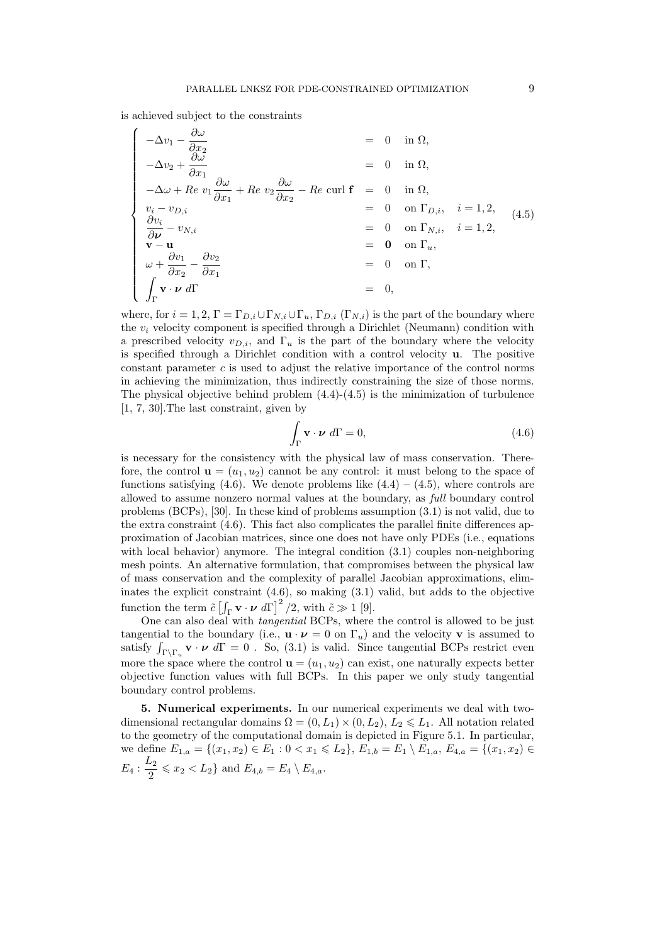is achieved subject to the constraints

$$
\begin{cases}\n-\Delta v_1 - \frac{\partial \omega}{\partial x_2} &= 0 \text{ in } \Omega, \\
-\Delta v_2 + \frac{\partial \omega}{\partial x_1} &= 0 \text{ in } \Omega, \\
-\Delta \omega + Re v_1 \frac{\partial \omega}{\partial x_1} + Re v_2 \frac{\partial \omega}{\partial x_2} - Re \text{ curl } \mathbf{f} &= 0 \text{ in } \Omega, \\
v_i - v_{D,i} &= 0 \text{ on } \Gamma_{D,i}, \quad i = 1, 2, \\
\frac{\partial v_i}{\partial \nu} - v_{N,i} &= 0 \text{ on } \Gamma_{N,i}, \quad i = 1, 2, \\
\mathbf{v} - \mathbf{u} &= 0 \text{ on } \Gamma_u, \\
\omega + \frac{\partial v_1}{\partial x_2} - \frac{\partial v_2}{\partial x_1} &= 0 \text{ on } \Gamma, \\
\int_{\Gamma} \mathbf{v} \cdot \nu \, d\Gamma &= 0,\n\end{cases} (4.5)
$$

where, for  $i = 1, 2, \Gamma = \Gamma_{D,i} \cup \Gamma_{N,i} \cup \Gamma_u$ ,  $\Gamma_{D,i}$  ( $\Gamma_{N,i}$ ) is the part of the boundary where the  $v_i$  velocity component is specified through a Dirichlet (Neumann) condition with a prescribed velocity  $v_{D,i}$ , and  $\Gamma_u$  is the part of the boundary where the velocity is specified through a Dirichlet condition with a control velocity  $\bf{u}$ . The positive constant parameter  $c$  is used to adjust the relative importance of the control norms in achieving the minimization, thus indirectly constraining the size of those norms. The physical objective behind problem  $(4.4)-(4.5)$  is the minimization of turbulence [1, 7, 30].The last constraint, given by

$$
\int_{\Gamma} \mathbf{v} \cdot \boldsymbol{\nu} d\Gamma = 0, \tag{4.6}
$$

is necessary for the consistency with the physical law of mass conservation. Therefore, the control  $\mathbf{u} = (u_1, u_2)$  cannot be any control: it must belong to the space of functions satisfying (4.6). We denote problems like  $(4.4) - (4.5)$ , where controls are allowed to assume nonzero normal values at the boundary, as full boundary control problems (BCPs), [30]. In these kind of problems assumption (3.1) is not valid, due to the extra constraint (4.6). This fact also complicates the parallel finite differences approximation of Jacobian matrices, since one does not have only PDEs (i.e., equations with local behavior) anymore. The integral condition  $(3.1)$  couples non-neighboring mesh points. An alternative formulation, that compromises between the physical law of mass conservation and the complexity of parallel Jacobian approximations, eliminates the explicit constraint  $(4.6)$ , so making  $(3.1)$  valid, but adds to the objective function the term  $\tilde{c} \left[ \int_{\Gamma} \mathbf{v} \cdot \boldsymbol{\nu} d\Gamma \right]^2 / 2$ , with  $\tilde{c} \gg 1$  [9].

One can also deal with tangential BCPs, where the control is allowed to be just tangential to the boundary (i.e.,  $\mathbf{u} \cdot \boldsymbol{\nu} = 0$  on  $\Gamma_u$ ) and the velocity **v** is assumed to satisfy  $\int_{\Gamma\backslash\Gamma_u} \mathbf{v} \cdot \boldsymbol{\nu} d\Gamma = 0$ . So, (3.1) is valid. Since tangential BCPs restrict even more the space where the control  $\mathbf{u} = (u_1, u_2)$  can exist, one naturally expects better objective function values with full BCPs. In this paper we only study tangential boundary control problems.

5. Numerical experiments. In our numerical experiments we deal with twodimensional rectangular domains  $\Omega = (0, L_1) \times (0, L_2), L_2 \leq L_1$ . All notation related to the geometry of the computational domain is depicted in Figure 5.1. In particular, we define  $E_{1,a} = \{(x_1,x_2) \in E_1 : 0 < x_1 \leq L_2\}$ ,  $E_{1,b} = E_1 \setminus E_{1,a}$ ,  $E_{4,a} = \{(x_1,x_2) \in E_1\}$  $E_4: \frac{L_2}{2}$  $\frac{Z_2}{2} \leqslant x_2 < L_2$  and  $E_{4,b} = E_4 \setminus E_{4,a}$ .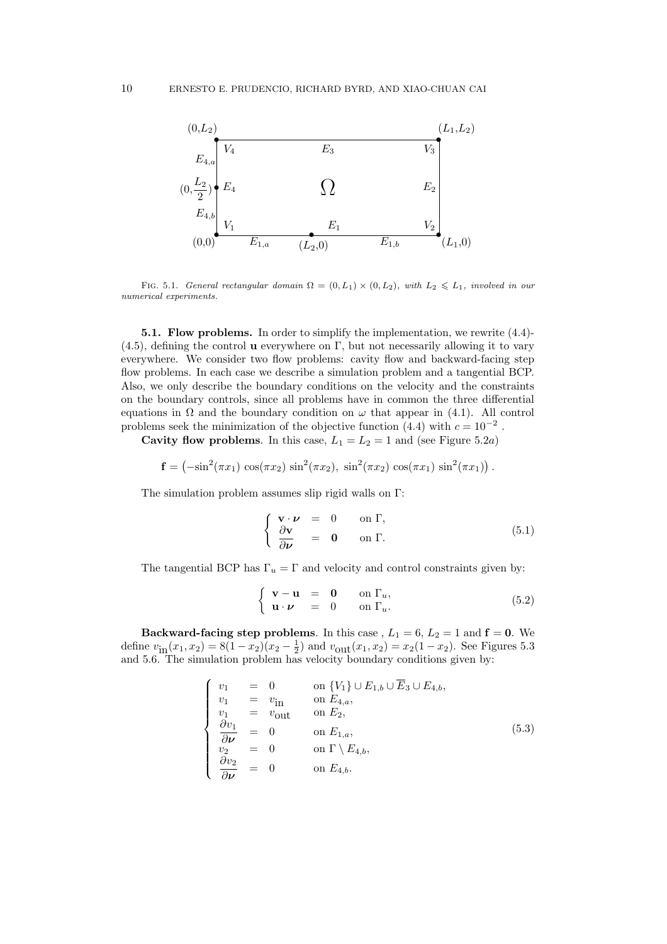

FIG. 5.1. General rectangular domain  $\Omega = (0, L_1) \times (0, L_2)$ , with  $L_2 \leq L_1$ , involved in our numerical experiments.

5.1. Flow problems. In order to simplify the implementation, we rewrite (4.4)-  $(4.5)$ , defining the control **u** everywhere on Γ, but not necessarily allowing it to vary everywhere. We consider two flow problems: cavity flow and backward-facing step flow problems. In each case we describe a simulation problem and a tangential BCP. Also, we only describe the boundary conditions on the velocity and the constraints on the boundary controls, since all problems have in common the three differential equations in  $\Omega$  and the boundary condition on  $\omega$  that appear in (4.1). All control problems seek the minimization of the objective function  $(4.4)$  with  $c = 10^{-2}$ .

Cavity flow problems. In this case,  $L_1 = L_2 = 1$  and (see Figure 5.2*a*)

$$
\mathbf{f} = \left(-\sin^2(\pi x_1)\,\cos(\pi x_2)\,\sin^2(\pi x_2),\,\sin^2(\pi x_2)\,\cos(\pi x_1)\,\sin^2(\pi x_1)\right).
$$

The simulation problem assumes slip rigid walls on Γ:

$$
\begin{cases}\n\mathbf{v} \cdot \boldsymbol{\nu} = 0 & \text{on } \Gamma, \\
\frac{\partial \mathbf{v}}{\partial \boldsymbol{\nu}} = \mathbf{0} & \text{on } \Gamma.\n\end{cases}
$$
\n(5.1)

The tangential BCP has  $\Gamma_u = \Gamma$  and velocity and control constraints given by:

$$
\begin{cases} \mathbf{v} - \mathbf{u} = \mathbf{0} & \text{on } \Gamma_u, \\ \mathbf{u} \cdot \boldsymbol{\nu} = 0 & \text{on } \Gamma_u. \end{cases} \tag{5.2}
$$

Backward-facing step problems. In this case,  $L_1 = 6$ ,  $L_2 = 1$  and  $f = 0$ . We define  $v_{\text{in}}(x_1, x_2) = 8(1-x_2)(x_2-\frac{1}{2})$  and  $v_{\text{out}}(x_1, x_2) = x_2(1-x_2)$ . See Figures 5.3 and 5.6. The simulation problem has velocity boundary conditions given by:

$$
\begin{cases}\nv_1 = 0 & \text{on } \{V_1\} \cup E_{1,b} \cup \overline{E}_3 \cup E_{4,b}, \\
v_1 = v_{\text{in}} & \text{on } E_{4,a}, \\
v_1 = v_{\text{out}} & \text{on } E_2, \\
\frac{\partial v_1}{\partial \nu} = 0 & \text{on } E_{1,a}, \\
v_2 = 0 & \text{on } \Gamma \setminus E_{4,b}, \\
\frac{\partial v_2}{\partial \nu} = 0 & \text{on } E_{4,b}.\n\end{cases}
$$
\n(5.3)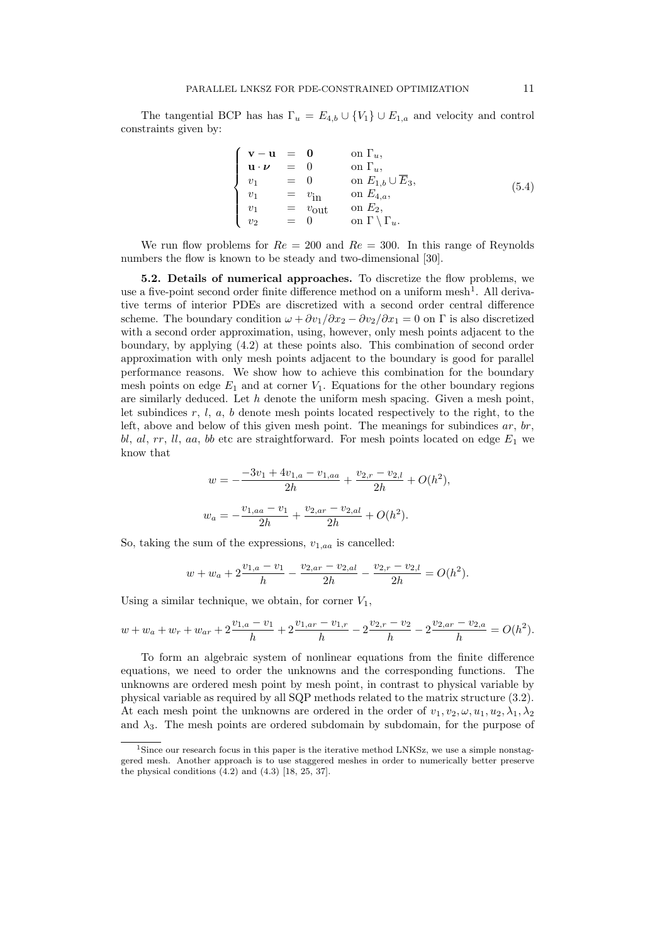The tangential BCP has has  $\Gamma_u = E_{4,b} \cup \{V_1\} \cup E_{1,a}$  and velocity and control constraints given by:

$$
\begin{cases}\n\mathbf{v} - \mathbf{u} = \mathbf{0} & \text{on } \Gamma_u, \\
\mathbf{u} \cdot \boldsymbol{\nu} = 0 & \text{on } \Gamma_u, \\
v_1 = 0 & \text{on } E_{1,b} \cup \overline{E}_3, \\
v_1 = v_{\text{in}} & \text{on } E_{4,a}, \\
v_1 = v_{\text{out}} & \text{on } E_2, \\
v_2 = 0 & \text{on } \Gamma \setminus \Gamma_u.\n\end{cases} (5.4)
$$

We run flow problems for  $Re = 200$  and  $Re = 300$ . In this range of Reynolds numbers the flow is known to be steady and two-dimensional [30].

5.2. Details of numerical approaches. To discretize the flow problems, we use a five-point second order finite difference method on a uniform mesh<sup>1</sup>. All derivative terms of interior PDEs are discretized with a second order central difference scheme. The boundary condition  $\omega + \partial v_1/\partial x_2 - \partial v_2/\partial x_1 = 0$  on  $\Gamma$  is also discretized with a second order approximation, using, however, only mesh points adjacent to the boundary, by applying (4.2) at these points also. This combination of second order approximation with only mesh points adjacent to the boundary is good for parallel performance reasons. We show how to achieve this combination for the boundary mesh points on edge  $E_1$  and at corner  $V_1$ . Equations for the other boundary regions are similarly deduced. Let  $h$  denote the uniform mesh spacing. Given a mesh point, let subindices  $r, l, a, b$  denote mesh points located respectively to the right, to the left, above and below of this given mesh point. The meanings for subindices  $ar$ ,  $br$ , bl, al, rr, ll, aa, bb etc are straightforward. For mesh points located on edge  $E_1$  we know that

$$
w = -\frac{-3v_1 + 4v_{1,a} - v_{1,aa}}{2h} + \frac{v_{2,r} - v_{2,l}}{2h} + O(h^2),
$$
  

$$
w_a = -\frac{v_{1,aa} - v_1}{2h} + \frac{v_{2,ar} - v_{2,al}}{2h} + O(h^2).
$$

So, taking the sum of the expressions,  $v_{1,aa}$  is cancelled:

$$
w + w_a + 2\frac{v_{1,a} - v_1}{h} - \frac{v_{2,ar} - v_{2,al}}{2h} - \frac{v_{2,r} - v_{2,l}}{2h} = O(h^2).
$$

Using a similar technique, we obtain, for corner  $V_1$ ,

$$
w + w_a + w_r + w_{ar} + 2\frac{v_{1,a} - v_1}{h} + 2\frac{v_{1,ar} - v_{1,r}}{h} - 2\frac{v_{2,r} - v_2}{h} - 2\frac{v_{2,ar} - v_{2,a}}{h} = O(h^2).
$$

To form an algebraic system of nonlinear equations from the finite difference equations, we need to order the unknowns and the corresponding functions. The unknowns are ordered mesh point by mesh point, in contrast to physical variable by physical variable as required by all SQP methods related to the matrix structure (3.2). At each mesh point the unknowns are ordered in the order of  $v_1, v_2, \omega, u_1, u_2, \lambda_1, \lambda_2$ and  $\lambda_3$ . The mesh points are ordered subdomain by subdomain, for the purpose of

<sup>&</sup>lt;sup>1</sup>Since our research focus in this paper is the iterative method LNKSz, we use a simple nonstaggered mesh. Another approach is to use staggered meshes in order to numerically better preserve the physical conditions  $(4.2)$  and  $(4.3)$  [18, 25, 37].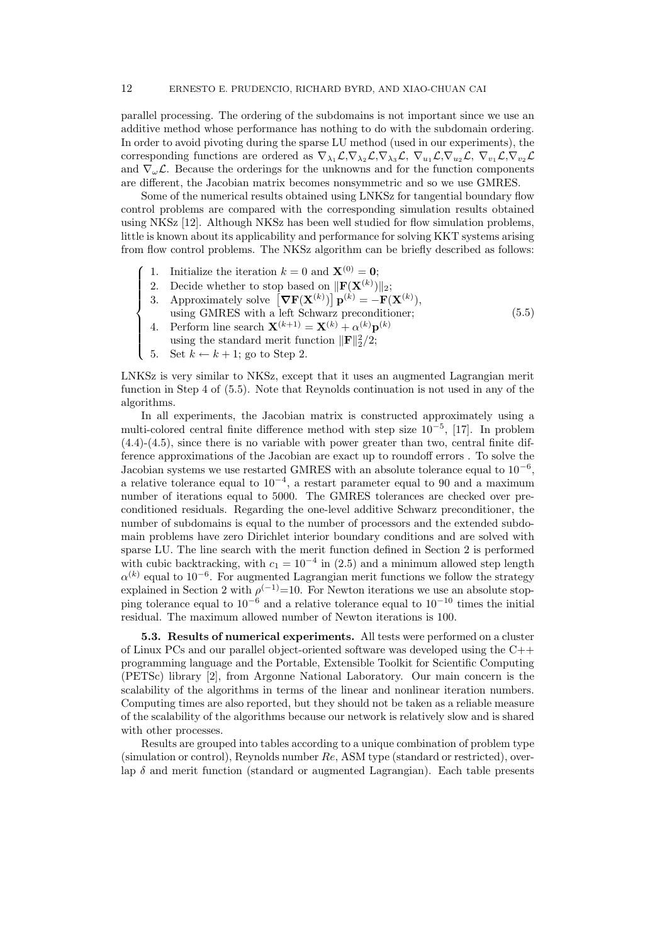parallel processing. The ordering of the subdomains is not important since we use an additive method whose performance has nothing to do with the subdomain ordering. In order to avoid pivoting during the sparse LU method (used in our experiments), the corresponding functions are ordered as  $\nabla_{\lambda_1} \mathcal{L}, \nabla_{\lambda_2} \mathcal{L}, \nabla_{\lambda_3} \mathcal{L}, \nabla_{u_1} \mathcal{L}, \nabla_{u_2} \mathcal{L}, \nabla_{v_1} \mathcal{L}, \nabla_{v_2} \mathcal{L}$ and  $\nabla_{\omega} \mathcal{L}$ . Because the orderings for the unknowns and for the function components are different, the Jacobian matrix becomes nonsymmetric and so we use GMRES.

Some of the numerical results obtained using LNKSz for tangential boundary flow control problems are compared with the corresponding simulation results obtained using NKSz [12]. Although NKSz has been well studied for flow simulation problems, little is known about its applicability and performance for solving KKT systems arising from flow control problems. The NKSz algorithm can be briefly described as follows:

- 1. Initialize the iteration  $k = 0$  and  $\mathbf{X}^{(0)} = \mathbf{0}$ ;
- 2. Decide whether to stop based on  $\|\mathbf{F}(\mathbf{X}^{(k)})\|_2;$
- 3. Approximately solve  $\left[\nabla \mathbf{F}(\mathbf{X}^{(k)})\right] \mathbf{p}^{(k)} = -\mathbf{F}(\mathbf{X}^{(k)}),$ using GMRES with a left Schwarz preconditioner;
- 4. Perform line search  $\mathbf{X}^{(k+1)} = \mathbf{X}^{(k)} + \alpha^{(k)} \mathbf{p}^{(k)}$
- using the standard merit function  $\|\mathbf{F}\|_2^2/2$ ;
- $\overline{\mathcal{L}}$ 5. Set  $k \leftarrow k + 1$ ; go to Step 2.

 $\sqrt{ }$ 

 $\int$ 

LNKSz is very similar to NKSz, except that it uses an augmented Lagrangian merit function in Step 4 of (5.5). Note that Reynolds continuation is not used in any of the algorithms.

(5.5)

In all experiments, the Jacobian matrix is constructed approximately using a multi-colored central finite difference method with step size 10<sup>−</sup><sup>5</sup> , [17]. In problem (4.4)-(4.5), since there is no variable with power greater than two, central finite difference approximations of the Jacobian are exact up to roundoff errors . To solve the Jacobian systems we use restarted GMRES with an absolute tolerance equal to  $10^{-6}$ , a relative tolerance equal to  $10^{-4}$ , a restart parameter equal to 90 and a maximum number of iterations equal to 5000. The GMRES tolerances are checked over preconditioned residuals. Regarding the one-level additive Schwarz preconditioner, the number of subdomains is equal to the number of processors and the extended subdomain problems have zero Dirichlet interior boundary conditions and are solved with sparse LU. The line search with the merit function defined in Section 2 is performed with cubic backtracking, with  $c_1 = 10^{-4}$  in (2.5) and a minimum allowed step length  $\alpha^{(k)}$  equal to 10<sup>-6</sup>. For augmented Lagrangian merit functions we follow the strategy explained in Section 2 with  $\rho^{(-1)}=10$ . For Newton iterations we use an absolute stopping tolerance equal to  $10^{-6}$  and a relative tolerance equal to  $10^{-10}$  times the initial residual. The maximum allowed number of Newton iterations is 100.

5.3. Results of numerical experiments. All tests were performed on a cluster of Linux PCs and our parallel object-oriented software was developed using the  $C++$ programming language and the Portable, Extensible Toolkit for Scientific Computing (PETSc) library [2], from Argonne National Laboratory. Our main concern is the scalability of the algorithms in terms of the linear and nonlinear iteration numbers. Computing times are also reported, but they should not be taken as a reliable measure of the scalability of the algorithms because our network is relatively slow and is shared with other processes.

Results are grouped into tables according to a unique combination of problem type (simulation or control), Reynolds number Re, ASM type (standard or restricted), overlap  $\delta$  and merit function (standard or augmented Lagrangian). Each table presents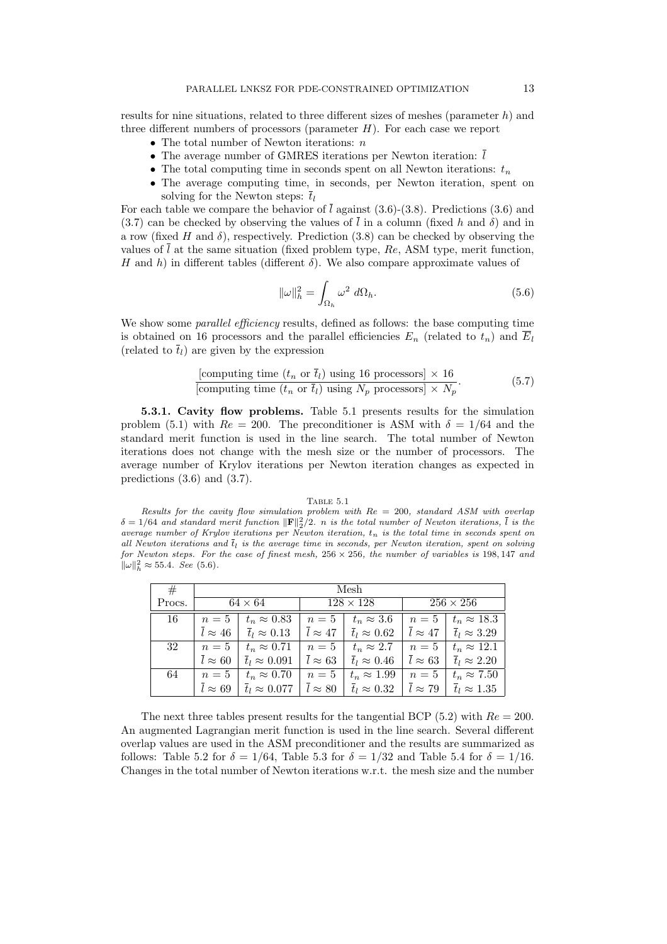results for nine situations, related to three different sizes of meshes (parameter  $h$ ) and three different numbers of processors (parameter  $H$ ). For each case we report

- The total number of Newton iterations:  $n$
- The average number of GMRES iterations per Newton iteration:  $\overline{l}$
- The total computing time in seconds spent on all Newton iterations:  $t_n$
- The average computing time, in seconds, per Newton iteration, spent on solving for the Newton steps:  $\overline{t}_l$

For each table we compare the behavior of  $\overline{l}$  against (3.6)-(3.8). Predictions (3.6) and  $(3.7)$  can be checked by observing the values of l in a column (fixed h and  $\delta$ ) and in a row (fixed H and  $\delta$ ), respectively. Prediction (3.8) can be checked by observing the values of  $\overline{l}$  at the same situation (fixed problem type, Re, ASM type, merit function, H and h) in different tables (different  $\delta$ ). We also compare approximate values of

$$
\|\omega\|_{h}^{2} = \int_{\Omega_{h}} \omega^2 \, d\Omega_{h}.\tag{5.6}
$$

We show some *parallel efficiency* results, defined as follows: the base computing time is obtained on 16 processors and the parallel efficiencies  $E_n$  (related to  $t_n$ ) and  $\overline{E}_l$ (related to  $\overline{t}_l$ ) are given by the expression

[computing time 
$$
(t_n \text{ or } \overline{t}_l)
$$
 using 16 processors] × 16  
[computing time  $(t_n \text{ or } \overline{t}_l)$  using  $N_p$  processors] ×  $N_p$ . (5.7)

5.3.1. Cavity flow problems. Table 5.1 presents results for the simulation problem (5.1) with  $Re = 200$ . The preconditioner is ASM with  $\delta = 1/64$  and the standard merit function is used in the line search. The total number of Newton iterations does not change with the mesh size or the number of processors. The average number of Krylov iterations per Newton iteration changes as expected in predictions (3.6) and (3.7).

# TABLE 5.1

Results for the cavity flow simulation problem with  $Re = 200$ , standard ASM with overlap  $\delta = 1/64$  and standard merit function  $\|\mathbf{F}\|_2^2/2$ . n is the total number of Newton iterations,  $\bar{l}$  is the average number of Krylov iterations per Newton iteration,  $t_n$  is the total time in seconds spent on all Newton iterations and  $t_l$  is the average time in seconds, per Newton iteration, spent on solving for Newton steps. For the case of finest mesh,  $256 \times 256$ , the number of variables is 198, 147 and  $\|\omega\|_h^2 \approx 55.4.$  See (5.6).

| #      | Mesh           |                                |                  |                               |                  |                               |  |  |  |
|--------|----------------|--------------------------------|------------------|-------------------------------|------------------|-------------------------------|--|--|--|
| Procs. | $64 \times 64$ |                                | $128 \times 128$ |                               | $256 \times 256$ |                               |  |  |  |
| 16     | $n=5$          | $t_n \approx 0.83$             | $n=5$            | $t_n \approx 3.6$             | $n=5$            | $t_n \approx 18.3$            |  |  |  |
|        | $l \approx 46$ | $\overline{t}_l \approx 0.13$  | $l \approx 47$   | $\overline{t}_l \approx 0.62$ | $l \approx 47$   | $\overline{t}_l \approx 3.29$ |  |  |  |
| 32     | $n=5$          | $t_n \approx 0.71$             | $n=5$            | $t_n \approx 2.7$             | $n=5$            | $t_n \approx 12.1$            |  |  |  |
|        | $l \approx 60$ | $\overline{t}_l \approx 0.091$ | $l \approx 63$   | $\overline{t}_l \approx 0.46$ | $l \approx 63$   | $\overline{t}_l \approx 2.20$ |  |  |  |
| 64     | $n=5$          | $t_n \approx 0.70$             | $n=5$            | $t_n \approx 1.99$            | $n=5$            | $t_n \approx 7.50$            |  |  |  |
|        | $l \approx 69$ | $\overline{t}_l \approx 0.077$ | $l \approx 80$   | $\overline{t}_l \approx 0.32$ | $l \approx 79$   | $\overline{t}_l \approx 1.35$ |  |  |  |

The next three tables present results for the tangential BCP (5.2) with  $Re = 200$ . An augmented Lagrangian merit function is used in the line search. Several different overlap values are used in the ASM preconditioner and the results are summarized as follows: Table 5.2 for  $\delta = 1/64$ , Table 5.3 for  $\delta = 1/32$  and Table 5.4 for  $\delta = 1/16$ . Changes in the total number of Newton iterations w.r.t. the mesh size and the number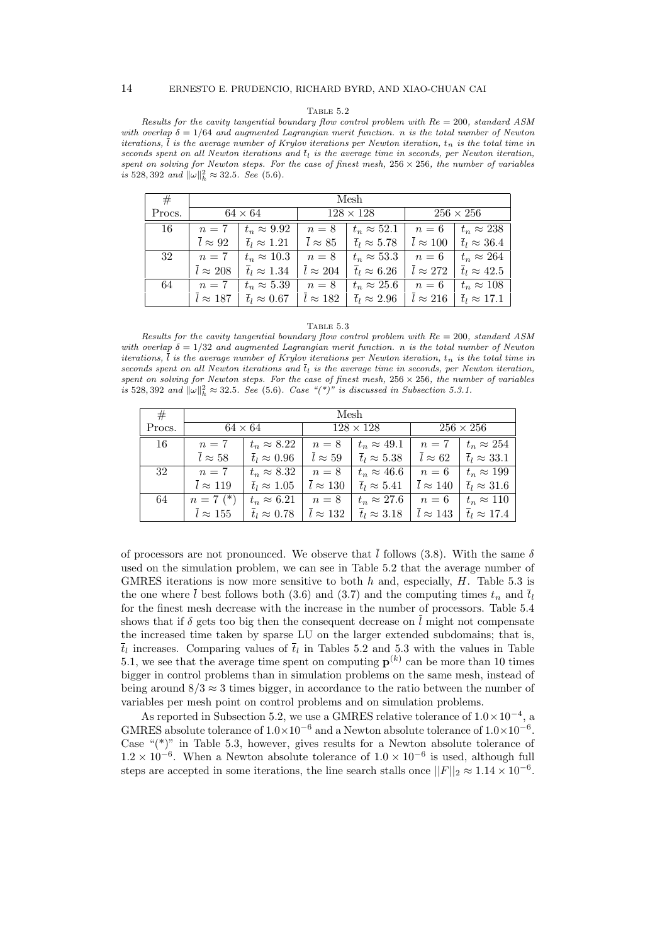Results for the cavity tangential boundary flow control problem with  $Re = 200$ , standard ASM with overlap  $\delta = 1/64$  and augmented Lagrangian merit function. n is the total number of Newton iterations,  $\overline{l}$  is the average number of Krylov iterations per Newton iteration,  $t_n$  is the total time in seconds spent on all Newton iterations and  $\overline{t}_l$  is the average time in seconds, per Newton iteration, spent on solving for Newton steps. For the case of finest mesh,  $256 \times 256$ , the number of variables is 528, 392 and  $\|\omega\|_h^2 \approx 32.5$ . See (5.6).

| #      | Mesh            |                               |                           |                               |                  |                               |  |  |  |
|--------|-----------------|-------------------------------|---------------------------|-------------------------------|------------------|-------------------------------|--|--|--|
| Procs. | $64 \times 64$  |                               | $128 \times 128$          |                               | $256 \times 256$ |                               |  |  |  |
| 16     | $n=7$           | $t_n \approx 9.92$            | $n=8$                     | $t_n \approx 52.1$            | $n=6$            | $t_n \approx 238$             |  |  |  |
|        | $l \approx 92$  | $\overline{t}_l \approx 1.21$ | $\overline{l} \approx 85$ | $\overline{t}_l \approx 5.78$ | $l \approx 100$  | $\overline{t}_l \approx 36.4$ |  |  |  |
| 32     | $n=7$           | $t_n \approx 10.3$            | $n=8$                     | $t_n \approx 53.3$            | $n=6$            | $t_n \approx 264$             |  |  |  |
|        | $l \approx 208$ | $\overline{t}_l \approx 1.34$ | $l \approx 204$           | $t_l \approx 6.26$            | $l \approx 272$  | $\overline{t}_l \approx 42.5$ |  |  |  |
| 64     | $n=7$           | $t_n \approx 5.39$            | $n=8$                     | $t_n \approx 25.6$            | $n=6$            | $t_n \approx 108$             |  |  |  |
|        | $l \approx 187$ | $\overline{t}_l \approx 0.67$ | $l \approx 182$           | $\overline{t}_l \approx 2.96$ | $l \approx 216$  | $\overline{t}_l \approx 17.1$ |  |  |  |

## TABLE  $5.3$

Results for the cavity tangential boundary flow control problem with  $Re = 200$ , standard ASM with overlap  $\delta = 1/32$  and augmented Lagrangian merit function. n is the total number of Newton iterations,  $\overline{l}$  is the average number of Krylov iterations per Newton iteration,  $t_n$  is the total time in seconds spent on all Newton iterations and  $t<sub>l</sub>$  is the average time in seconds, per Newton iteration, spent on solving for Newton steps. For the case of finest mesh,  $256 \times 256$ , the number of variables is 528, 392 and  $\|\omega\|_h^2 \approx 32.5$ . See (5.6). Case "(\*)" is discussed in Subsection 5.3.1.

| #      | Mesh                       |                               |                           |                               |                  |                               |  |  |  |
|--------|----------------------------|-------------------------------|---------------------------|-------------------------------|------------------|-------------------------------|--|--|--|
| Procs. | $64 \times 64$             |                               | $128 \times 128$          |                               | $256 \times 256$ |                               |  |  |  |
| 16     | $n=7$                      | $t_n \approx 8.22$            | $n=8$                     | $t_n \approx 49.1$            | $n=7$            | $t_n \approx 254$             |  |  |  |
|        | $\overline{l}\approx 58$   | $\overline{t}_l \approx 0.96$ | $\overline{l} \approx 59$ | $\overline{t}_l \approx 5.38$ | $l \approx 62$   | $\overline{t}_l \approx 33.1$ |  |  |  |
| 32     | $n=7$                      | $t_n \approx 8.32$            | $n=8$                     | $t_n \approx 46.6$            | $n=6$            | $t_n \approx 199$             |  |  |  |
|        | $l \approx 119$            | $t_l \approx 1.05$            | $l \approx 130$           | $t_l \approx 5.41$            | $l \approx 140$  | $\overline{t}_l \approx 31.6$ |  |  |  |
| 64     | $n = 7$ (*)                | $t_n \approx 6.21$            | $n=8$                     | $t_n \approx 27.6$            | $n=6$            | $t_n \approx 110$             |  |  |  |
|        | $\overline{l} \approx 155$ | $\overline{t}_l \approx 0.78$ | $l \approx 132$           | $t_l \approx 3.18$            | $l \approx 143$  | $\overline{t}_l \approx 17.4$ |  |  |  |

of processors are not pronounced. We observe that  $\overline{l}$  follows (3.8). With the same  $\delta$ used on the simulation problem, we can see in Table 5.2 that the average number of GMRES iterations is now more sensitive to both  $h$  and, especially,  $H$ . Table 5.3 is the one where  $\bar{l}$  best follows both (3.6) and (3.7) and the computing times  $t_n$  and  $\bar{t}_l$ for the finest mesh decrease with the increase in the number of processors. Table 5.4 shows that if  $\delta$  gets too big then the consequent decrease on  $\overline{l}$  might not compensate the increased time taken by sparse LU on the larger extended subdomains; that is,  $\overline{t}_l$  increases. Comparing values of  $\overline{t}_l$  in Tables 5.2 and 5.3 with the values in Table 5.1, we see that the average time spent on computing  $\mathbf{p}^{(k)}$  can be more than 10 times bigger in control problems than in simulation problems on the same mesh, instead of being around  $8/3 \approx 3$  times bigger, in accordance to the ratio between the number of variables per mesh point on control problems and on simulation problems.

As reported in Subsection 5.2, we use a GMRES relative tolerance of  $1.0 \times 10^{-4}$ , a GMRES absolute tolerance of  $1.0 \times 10^{-6}$  and a Newton absolute tolerance of  $1.0 \times 10^{-6}$ . Case " $(*)$ " in Table 5.3, however, gives results for a Newton absolute tolerance of  $1.2 \times 10^{-6}$ . When a Newton absolute tolerance of  $1.0 \times 10^{-6}$  is used, although full steps are accepted in some iterations, the line search stalls once  $||F||_2 \approx 1.14 \times 10^{-6}$ .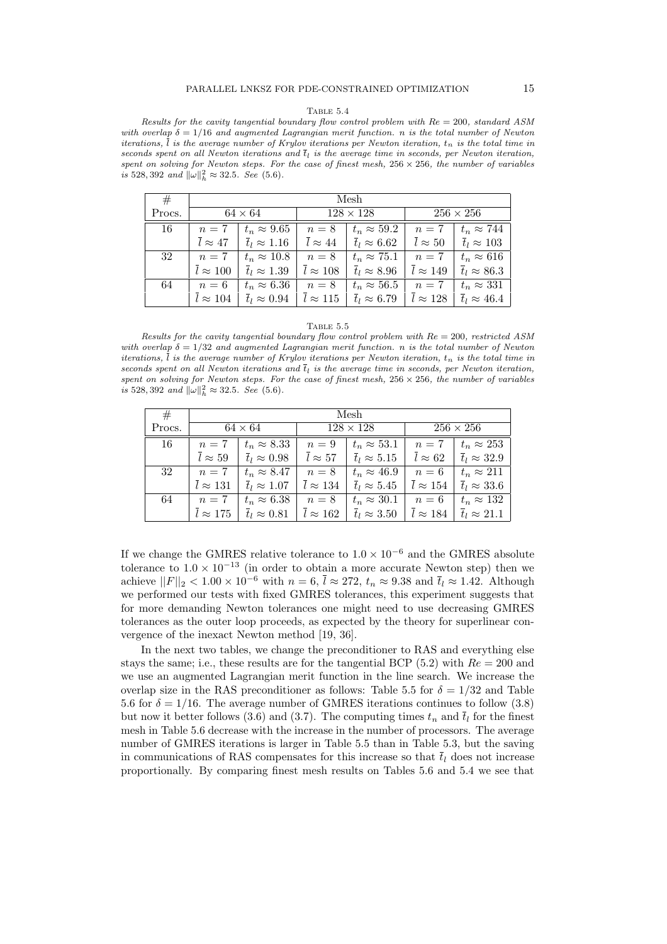Results for the cavity tangential boundary flow control problem with  $Re = 200$ , standard ASM with overlap  $\delta = 1/16$  and augmented Lagrangian merit function. n is the total number of Newton iterations,  $\overline{l}$  is the average number of Krylov iterations per Newton iteration,  $t_n$  is the total time in seconds spent on all Newton iterations and  $\bar{t}_l$  is the average time in seconds, per Newton iteration, spent on solving for Newton steps. For the case of finest mesh,  $256 \times 256$ , the number of variables is 528, 392 and  $\|\omega\|_h^2 \approx 32.5$ . See (5.6).

| #      | Mesh                       |                               |                           |                               |                           |                               |  |  |
|--------|----------------------------|-------------------------------|---------------------------|-------------------------------|---------------------------|-------------------------------|--|--|
| Procs. | $64 \times 64$             |                               | $128 \times 128$          |                               | $256 \times 256$          |                               |  |  |
| 16     | $n=7$                      | $t_n \approx 9.65$            | $n=8$                     | $t_n \approx 59.2$            | $n=7$                     | $t_n \approx 744$             |  |  |
|        | $l \approx 47$             | $\overline{t}_l \approx 1.16$ | $\overline{l} \approx 44$ | $\overline{t}_l \approx 6.62$ | $\overline{l} \approx 50$ | $\overline{t}_l \approx 103$  |  |  |
| 32     | $n=7$                      | $t_n \approx 10.8$            | $n=8$                     | $t_n \approx 75.1$            | $n=7$                     | $t_n \approx 616$             |  |  |
|        | $\overline{l} \approx 100$ | $\overline{t}_l \approx 1.39$ | $l \approx 108$           | $\overline{t}_l \approx 8.96$ | $l \approx 149$           | $\overline{t}_l \approx 86.3$ |  |  |
| 64     | $n=6$                      | $t_n \approx 6.36$            | $n=8$                     | $t_n \approx 56.5$            | $n=7$                     | $t_n \approx 331$             |  |  |
|        | $l \approx 104$            | $\overline{t}_l \approx 0.94$ | $l \approx 115$           | $\overline{t}_l \approx 6.79$ | $l \approx 128$           | $\overline{t}_l \approx 46.4$ |  |  |

#### TABLE  $5.5$

Results for the cavity tangential boundary flow control problem with  $Re = 200$ , restricted ASM with overlap  $\delta = 1/32$  and augmented Lagrangian merit function. n is the total number of Newton iterations,  $\overline{l}$  is the average number of Krylov iterations per Newton iteration,  $t_n$  is the total time in seconds spent on all Newton iterations and  $t<sub>l</sub>$  is the average time in seconds, per Newton iteration, spent on solving for Newton steps. For the case of finest mesh,  $256 \times 256$ , the number of variables is 528, 392 and  $\|\omega\|_h^2 \approx 32.5$ . See (5.6).

| #      | Mesh                       |                               |                            |                               |                           |                               |  |  |  |
|--------|----------------------------|-------------------------------|----------------------------|-------------------------------|---------------------------|-------------------------------|--|--|--|
| Procs. |                            | $64 \times 64$                | $128 \times 128$           |                               | $256 \times 256$          |                               |  |  |  |
| 16     | $n=7$                      | $t_n \approx 8.33$            | $n=9$                      | $t_n \approx 53.1$            | $n=7$                     | $t_n \approx 253$             |  |  |  |
|        | $\overline{l}\approx 59$   | $\overline{t}_l \approx 0.98$ | $\overline{l}\approx 57$   | $\overline{t}_l \approx 5.15$ | $\overline{l} \approx 62$ | $\overline{t}_l \approx 32.9$ |  |  |  |
| 32     | $n=7$                      | $t_n \approx 8.47$            | $n=8$                      | $t_n \approx 46.9$            | $n=6$                     | $t_n \approx 211$             |  |  |  |
|        | $\overline{l} \approx 131$ | $\overline{t}_l \approx 1.07$ | $\overline{l} \approx 134$ | $t_l \approx 5.45$            | $l \approx 154$           | $\overline{t}_l \approx 33.6$ |  |  |  |
| 64     | $n=7$                      | $t_n \approx 6.38$            | $n=8$                      | $t_n \approx 30.1$            | $n=6$                     | $t_n \approx 132$             |  |  |  |
|        | $l \approx 175$            | $\overline{t}_l \approx 0.81$ | $\overline{l} \approx 162$ | $\overline{t}_l \approx 3.50$ | $l \approx 184$           | $\overline{t}_l \approx 21.1$ |  |  |  |

If we change the GMRES relative tolerance to  $1.0 \times 10^{-6}$  and the GMRES absolute tolerance to  $1.0 \times 10^{-13}$  (in order to obtain a more accurate Newton step) then we achieve  $||F||_2 < 1.00 \times 10^{-6}$  with  $n = 6$ ,  $\bar{l} \approx 272$ ,  $t_n \approx 9.38$  and  $\bar{t}_l \approx 1.42$ . Although we performed our tests with fixed GMRES tolerances, this experiment suggests that for more demanding Newton tolerances one might need to use decreasing GMRES tolerances as the outer loop proceeds, as expected by the theory for superlinear convergence of the inexact Newton method [19, 36].

In the next two tables, we change the preconditioner to RAS and everything else stays the same; i.e., these results are for the tangential BCP  $(5.2)$  with  $Re = 200$  and we use an augmented Lagrangian merit function in the line search. We increase the overlap size in the RAS preconditioner as follows: Table 5.5 for  $\delta = 1/32$  and Table 5.6 for  $\delta = 1/16$ . The average number of GMRES iterations continues to follow (3.8) but now it better follows (3.6) and (3.7). The computing times  $t_n$  and  $\overline{t}_l$  for the finest mesh in Table 5.6 decrease with the increase in the number of processors. The average number of GMRES iterations is larger in Table 5.5 than in Table 5.3, but the saving in communications of RAS compensates for this increase so that  $\bar{t}_l$  does not increase proportionally. By comparing finest mesh results on Tables 5.6 and 5.4 we see that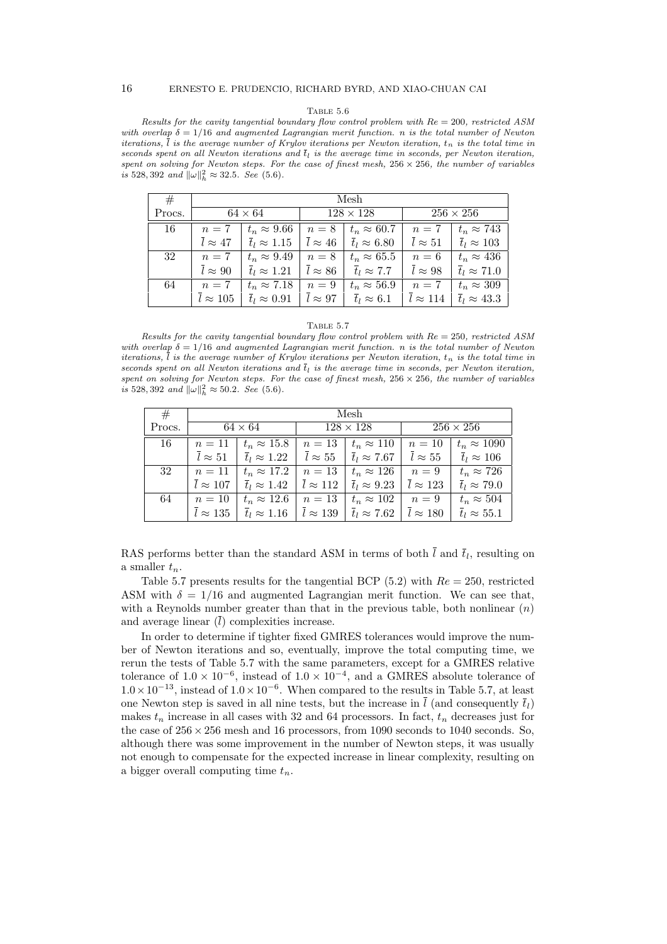Results for the cavity tangential boundary flow control problem with  $Re = 200$ , restricted ASM with overlap  $\delta = 1/16$  and augmented Lagrangian merit function. n is the total number of Newton iterations,  $\overline{l}$  is the average number of Krylov iterations per Newton iteration,  $t_n$  is the total time in seconds spent on all Newton iterations and  $\overline{t}_l$  is the average time in seconds, per Newton iteration, spent on solving for Newton steps. For the case of finest mesh,  $256 \times 256$ , the number of variables is 528, 392 and  $\|\omega\|_h^2 \approx 32.5$ . See (5.6).

| #      | Mesh            |                               |                           |                               |                  |                               |  |  |
|--------|-----------------|-------------------------------|---------------------------|-------------------------------|------------------|-------------------------------|--|--|
| Procs. |                 | $64 \times 64$                | $128 \times 128$          |                               | $256 \times 256$ |                               |  |  |
| 16     | $n=7$           | $t_n \approx 9.66$            | $n=8$                     | $t_n \approx 60.7$            | $n=7$            | $t_n \approx 743$             |  |  |
|        | $l \approx 47$  | $\overline{t}_l \approx 1.15$ | $\overline{l} \approx 46$ | $\overline{t}_l \approx 6.80$ | $l \approx 51$   | $\overline{t}_l \approx 103$  |  |  |
| 32     | $n=7$           | $t_n \approx 9.49$            | $n=8$                     | $t_n \approx 65.5$            | $n=6$            | $t_n \approx 436$             |  |  |
|        | $l \approx 90$  | $\overline{t}_l \approx 1.21$ | $l \approx 86$            | $\overline{t}_l \approx 7.7$  | $l \approx 98$   | $\overline{t}_l \approx 71.0$ |  |  |
| 64     | $n=7$           | $t_n \approx 7.18$            | $n=9$                     | $t_n \approx 56.9$            | $n=7$            | $t_n \approx 309$             |  |  |
|        | $l \approx 105$ | $\overline{t}_l \approx 0.91$ | $l \approx 97$            | $\overline{t}_l \approx 6.1$  | $l \approx 114$  | $\overline{t}_l \approx 43.3$ |  |  |

# TABLE 5.7

Results for the cavity tangential boundary flow control problem with  $Re = 250$ , restricted ASM with overlap  $\delta = 1/16$  and augmented Lagrangian merit function. n is the total number of Newton iterations,  $\overline{l}$  is the average number of Krylov iterations per Newton iteration,  $t_n$  is the total time in seconds spent on all Newton iterations and  $t<sub>l</sub>$  is the average time in seconds, per Newton iteration, spent on solving for Newton steps. For the case of finest mesh,  $256 \times 256$ , the number of variables is 528, 392 and  $\|\omega\|_h^2 \approx 50.2$ . See (5.6).

| #      | Mesh            |                               |                          |                               |                          |                               |  |  |  |
|--------|-----------------|-------------------------------|--------------------------|-------------------------------|--------------------------|-------------------------------|--|--|--|
| Procs. |                 | $64 \times 64$                | $128 \times 128$         |                               | $256 \times 256$         |                               |  |  |  |
| 16     | $n=11$          | $t_n \approx 15.8$            | $n=13$                   | $t_n \approx 110$             | $n=10$                   | $t_n \approx 1090$            |  |  |  |
|        | $l \approx 51$  | $\overline{t}_l \approx 1.22$ | $\overline{l}\approx 55$ | $\overline{t}_l \approx 7.67$ | $\overline{l}\approx 55$ | $\overline{t}_l \approx 106$  |  |  |  |
| 32     | $n=11$          | $t_n \approx 17.2$            | $n=13$                   | $t_n \approx 126$             | $n=9$                    | $t_n \approx 726$             |  |  |  |
|        | $l \approx 107$ | $\overline{t}_l \approx 1.42$ | $\bar{l} \approx 112$    | $\overline{t}_l \approx 9.23$ | $\bar{l} \approx 123$    | $\overline{t}_l \approx 79.0$ |  |  |  |
| 64     | $n=10$          | $t_n \approx 12.6$            | $n=13$                   | $t_n \approx 102$             | $n=9$                    | $t_n \approx 504$             |  |  |  |
|        | $l\approx 135$  | $\overline{t}_l \approx 1.16$ | $l \approx 139$          | $\overline{t}_l \approx 7.62$ | $l \approx 180$          | $\overline{t}_l \approx 55.1$ |  |  |  |

RAS performs better than the standard ASM in terms of both  $l$  and  $\bar{t}_l$ , resulting on a smaller  $t_n$ .

Table 5.7 presents results for the tangential BCP (5.2) with  $Re = 250$ , restricted ASM with  $\delta = 1/16$  and augmented Lagrangian merit function. We can see that, with a Reynolds number greater than that in the previous table, both nonlinear  $(n)$ and average linear  $(\bar{l})$  complexities increase.

In order to determine if tighter fixed GMRES tolerances would improve the number of Newton iterations and so, eventually, improve the total computing time, we rerun the tests of Table 5.7 with the same parameters, except for a GMRES relative tolerance of  $1.0 \times 10^{-6}$ , instead of  $1.0 \times 10^{-4}$ , and a GMRES absolute tolerance of  $1.0 \times 10^{-13}$ , instead of  $1.0 \times 10^{-6}$ . When compared to the results in Table 5.7, at least one Newton step is saved in all nine tests, but the increase in  $\overline{l}$  (and consequently  $\overline{t}_l$ ) makes  $t_n$  increase in all cases with 32 and 64 processors. In fact,  $t_n$  decreases just for the case of  $256 \times 256$  mesh and 16 processors, from 1090 seconds to 1040 seconds. So, although there was some improvement in the number of Newton steps, it was usually not enough to compensate for the expected increase in linear complexity, resulting on a bigger overall computing time  $t_n$ .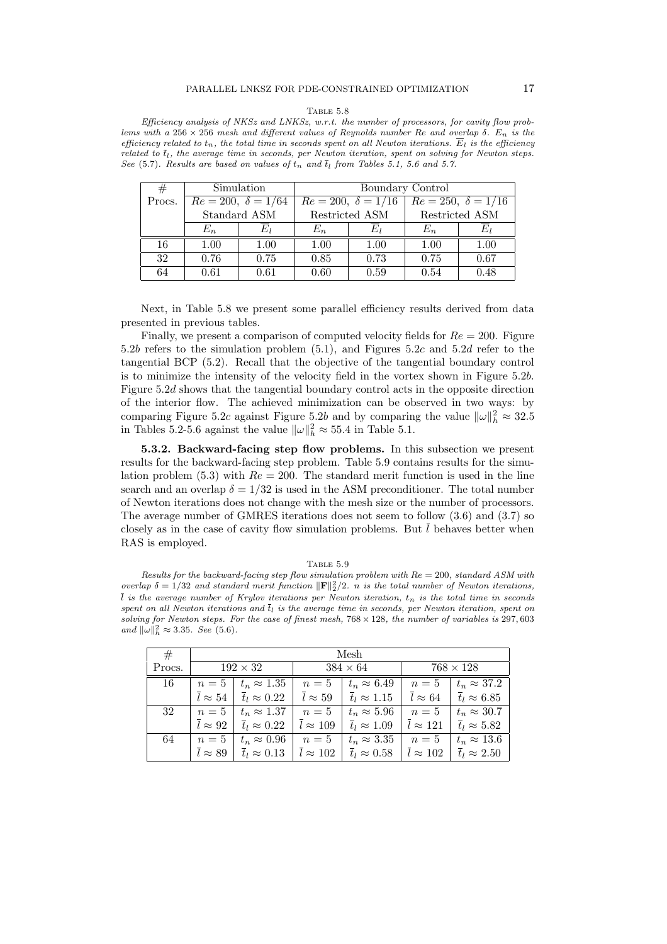Efficiency analysis of NKSz and LNKSz, w.r.t. the number of processors, for cavity flow problems with a 256 × 256 mesh and different values of Reynolds number Re and overlap  $\delta$ .  $E_n$  is the efficiency related to  $t_n$ , the total time in seconds spent on all Newton iterations.  $E_l$  is the efficiency related to  $\bar{t}_l$ , the average time in seconds, per Newton iteration, spent on solving for Newton steps. See (5.7). Results are based on values of  $t_n$  and  $t_l$  from Tables 5.1, 5.6 and 5.7.

| #      | Simulation   |                           | Boundary Control                                    |      |                |      |  |
|--------|--------------|---------------------------|-----------------------------------------------------|------|----------------|------|--|
| Procs. |              | $Re = 200, \delta = 1/64$ | $Re = 200, \delta = 1/16$ $Re = 250, \delta = 1/16$ |      |                |      |  |
|        | Standard ASM |                           | Restricted ASM                                      |      | Restricted ASM |      |  |
|        | $E_n$        |                           | $E_n$                                               | E1   | $E_n$          | E1   |  |
| 16     | 1.00         | 1.00                      | 1.00                                                | 1.00 | 1.00           | 1.00 |  |
| 32     | 0.76         | 0.75                      | 0.85                                                | 0.73 | 0.75           | 0.67 |  |
| 64     | 0.61         | 0.61                      | 0.60                                                | 0.59 | 0.54           | 0.48 |  |

Next, in Table 5.8 we present some parallel efficiency results derived from data presented in previous tables.

Finally, we present a comparison of computed velocity fields for  $Re = 200$ . Figure 5.2b refers to the simulation problem (5.1), and Figures 5.2c and 5.2d refer to the tangential BCP (5.2). Recall that the objective of the tangential boundary control is to minimize the intensity of the velocity field in the vortex shown in Figure 5.2b. Figure 5.2d shows that the tangential boundary control acts in the opposite direction of the interior flow. The achieved minimization can be observed in two ways: by comparing Figure 5.2c against Figure 5.2b and by comparing the value  $\|\omega\|_h^2 \approx 32.5$ in Tables 5.2-5.6 against the value  $\|\omega\|_h^2 \approx 55.4$  in Table 5.1.

5.3.2. Backward-facing step flow problems. In this subsection we present results for the backward-facing step problem. Table 5.9 contains results for the simulation problem (5.3) with  $Re = 200$ . The standard merit function is used in the line search and an overlap  $\delta = 1/32$  is used in the ASM preconditioner. The total number of Newton iterations does not change with the mesh size or the number of processors. The average number of GMRES iterations does not seem to follow (3.6) and (3.7) so closely as in the case of cavity flow simulation problems. But  $\overline{l}$  behaves better when RAS is employed.

TABLE  $5.9$ 

| Results for the backward-facing step flow simulation problem with $Re = 200$ , standard ASM with                         |
|--------------------------------------------------------------------------------------------------------------------------|
| overlap $\delta = 1/32$ and standard merit function $\ \mathbf{F}\ _2^2/2$ . n is the total number of Newton iterations, |
| l is the average number of Krylov iterations per Newton iteration, $t_n$ is the total time in seconds                    |
| spent on all Newton iterations and $\bar{t}_l$ is the average time in seconds, per Newton iteration, spent on            |
| solving for Newton steps. For the case of finest mesh, $768 \times 128$ , the number of variables is 297,603             |
| and $\ \omega\ _h^2 \approx 3.35$ . See (5.6).                                                                           |

| #      | Mesh                      |                               |                            |                               |                            |                               |  |  |  |
|--------|---------------------------|-------------------------------|----------------------------|-------------------------------|----------------------------|-------------------------------|--|--|--|
| Procs. |                           | $192 \times 32$               | $384 \times 64$            |                               | $768 \times 128$           |                               |  |  |  |
| 16     | $n=5$                     | $t_n \approx 1.35$            | $n=5$                      | $t_n \approx 6.49$            | $n=5$                      | $t_n \approx 37.2$            |  |  |  |
|        | $\overline{l} \approx 54$ | $\overline{t}_l \approx 0.22$ | $\overline{l} \approx 59$  | $\overline{t}_l \approx 1.15$ | $\overline{l} \approx 64$  | $\overline{t}_l \approx 6.85$ |  |  |  |
| 32     | $n=5$                     | $t_n \approx 1.37$            | $n=5$                      | $t_n \approx 5.96$            | $n=5$                      | $t_n \approx 30.7$            |  |  |  |
|        | $l \approx 92$            | $\overline{t}_l \approx 0.22$ | $l \approx 109$            | $\overline{t}_l \approx 1.09$ | $\overline{l} \approx 121$ | $\overline{t}_l \approx 5.82$ |  |  |  |
| 64     | $n=5$                     | $t_n \approx 0.96$            | $n=5$                      | $t_n \approx 3.35$            | $n=5$                      | $t_n \approx 13.6$            |  |  |  |
|        | $\overline{l} \approx 89$ | $\overline{t}_l \approx 0.13$ | $\overline{l} \approx 102$ | $\overline{t}_l \approx 0.58$ | $\overline{l} \approx 102$ | $\overline{t}_l \approx 2.50$ |  |  |  |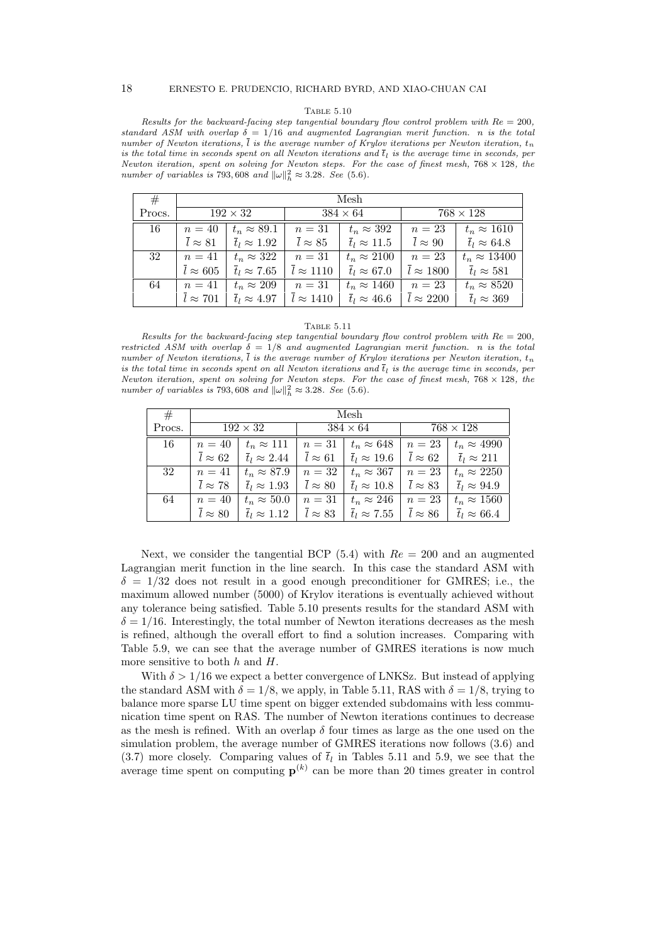Results for the backward-facing step tangential boundary flow control problem with  $Re = 200$ , standard ASM with overlap  $\delta = 1/16$  and augmented Lagrangian merit function. n is the total number of Newton iterations,  $\overline{l}$  is the average number of Krylov iterations per Newton iteration,  $t_n$ is the total time in seconds spent on all Newton iterations and  $t_l$  is the average time in seconds, per Newton iteration, spent on solving for Newton steps. For the case of finest mesh,  $768 \times 128$ , the number of variables is 793,608 and  $\|\omega\|_h^2 \approx 3.28$ . See (5.6).

| #      | Mesh            |                               |                          |                               |                             |                               |  |  |  |
|--------|-----------------|-------------------------------|--------------------------|-------------------------------|-----------------------------|-------------------------------|--|--|--|
| Procs. | $192 \times 32$ |                               | $384 \times 64$          |                               | $768 \times 128$            |                               |  |  |  |
| 16     | $n=40$          | $t_n \approx 89.1$            | $n=31$                   | $t_n \approx 392$             | $n=23$                      | $t_n \approx 1610$            |  |  |  |
|        | $l \approx 81$  | $\overline{t}_l \approx 1.92$ | $\overline{l}\approx 85$ | $\overline{t}_l \approx 11.5$ | $\overline{l} \approx 90$   | $\overline{t}_l \approx 64.8$ |  |  |  |
| 32     | $n=41$          | $t_n \approx 322$             | $n=31$                   | $t_n \approx 2100$            | $n=23$                      | $t_n \approx 13400$           |  |  |  |
|        | $l \approx 605$ | $\overline{t}_l \approx 7.65$ | $\bar{l} \approx 1110$   | $\overline{t}_l \approx 67.0$ | $\overline{l} \approx 1800$ | $\overline{t}_l \approx 581$  |  |  |  |
| 64     | $n=41$          | $t_n \approx 209$             | $n=31$                   | $t_n \approx 1460$            | $n=23$                      | $t_n \approx 8520$            |  |  |  |
|        | $l \approx 701$ | $\overline{t}_l \approx 4.97$ | $l \approx 1410$         | $\overline{t}_l \approx 46.6$ | $l \approx 2200$            | $\overline{t}_l \approx 369$  |  |  |  |

## Table 5.11

Results for the backward-facing step tangential boundary flow control problem with  $Re = 200$ , restricted ASM with overlap  $\delta = 1/8$  and augmented Lagrangian merit function. n is the total number of Newton iterations,  $\overline{l}$  is the average number of Krylov iterations per Newton iteration,  $t_n$ is the total time in seconds spent on all Newton iterations and  $t<sub>l</sub>$  is the average time in seconds, per Newton iteration, spent on solving for Newton steps. For the case of finest mesh,  $768 \times 128$ , the number of variables is 793,608 and  $\|\omega\|_h^2 \approx 3.28$ . See (5.6).

| #      | Mesh                     |                               |                          |                               |                          |                               |  |  |  |  |  |  |  |
|--------|--------------------------|-------------------------------|--------------------------|-------------------------------|--------------------------|-------------------------------|--|--|--|--|--|--|--|
| Procs. |                          | $192 \times 32$               |                          | $384 \times 64$               | $768 \times 128$         |                               |  |  |  |  |  |  |  |
| 16     | $n=40$                   | $t_n \approx 111$             | $n=31$                   | $t_n \approx 648$             | $n=23$                   | $t_n \approx 4990$            |  |  |  |  |  |  |  |
|        | $l \approx 62$           | $\overline{t}_l \approx 2.44$ | $\overline{l}\approx 61$ | $\overline{t}_l \approx 19.6$ | $\overline{l}\approx 62$ | $\overline{t}_l \approx 211$  |  |  |  |  |  |  |  |
| 32     | $n=41$                   | $t_n \approx 87.9$            | $n=32$                   | $t_n \approx 367$             | $n=23$                   | $t_n \approx 2250$            |  |  |  |  |  |  |  |
|        | $\overline{l}\approx 78$ | $\overline{t}_l \approx 1.93$ | $l \approx 80$           | $\overline{t}_l \approx 10.8$ | $l \approx 83$           | $\overline{t}_l \approx 94.9$ |  |  |  |  |  |  |  |
| 64     | $n=40$                   | $t_n \approx 50.0$            | $n=31$                   | $t_n \approx 246$             | $n=23$                   | $t_n \approx 1560$            |  |  |  |  |  |  |  |
|        | $l \approx 80$           | $\overline{t}_l \approx 1.12$ |                          | $\overline{t}_l \approx 7.55$ | $l \approx 86$           | $\overline{t}_l \approx 66.4$ |  |  |  |  |  |  |  |

Next, we consider the tangential BCP  $(5.4)$  with  $Re = 200$  and an augmented Lagrangian merit function in the line search. In this case the standard ASM with  $\delta = 1/32$  does not result in a good enough preconditioner for GMRES; i.e., the maximum allowed number (5000) of Krylov iterations is eventually achieved without any tolerance being satisfied. Table 5.10 presents results for the standard ASM with  $\delta = 1/16$ . Interestingly, the total number of Newton iterations decreases as the mesh is refined, although the overall effort to find a solution increases. Comparing with Table 5.9, we can see that the average number of GMRES iterations is now much more sensitive to both  $h$  and  $H$ .

With  $\delta > 1/16$  we expect a better convergence of LNKSz. But instead of applying the standard ASM with  $\delta = 1/8$ , we apply, in Table 5.11, RAS with  $\delta = 1/8$ , trying to balance more sparse LU time spent on bigger extended subdomains with less communication time spent on RAS. The number of Newton iterations continues to decrease as the mesh is refined. With an overlap  $\delta$  four times as large as the one used on the simulation problem, the average number of GMRES iterations now follows (3.6) and  $(3.7)$  more closely. Comparing values of  $\overline{t}_l$  in Tables 5.11 and 5.9, we see that the average time spent on computing  $p^{(k)}$  can be more than 20 times greater in control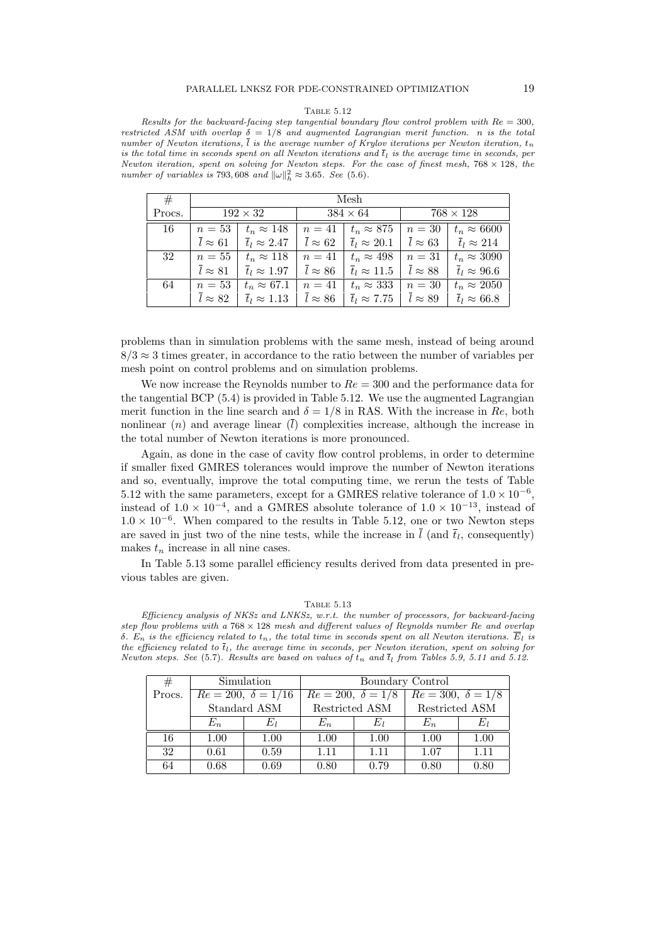Results for the backward-facing step tangential boundary flow control problem with  $Re = 300$ , restricted ASM with overlap  $\delta = 1/8$  and augmented Lagrangian merit function. n is the total number of Newton iterations,  $\overline{l}$  is the average number of Krylov iterations per Newton iteration,  $t_n$ is the total time in seconds spent on all Newton iterations and  $t_l$  is the average time in seconds, per Newton iteration, spent on solving for Newton steps. For the case of finest mesh,  $768 \times 128$ , the number of variables is 793,608 and  $\|\omega\|_h^2 \approx 3.65$ . See (5.6).

| #      | Mesh           |                               |                          |                               |                          |                               |  |  |  |  |  |  |  |
|--------|----------------|-------------------------------|--------------------------|-------------------------------|--------------------------|-------------------------------|--|--|--|--|--|--|--|
| Procs. |                | $192 \times 32$               |                          | $384 \times 64$               | $768 \times 128$         |                               |  |  |  |  |  |  |  |
| 16     | $n=53$         | $t_n \approx 148$             | $n=41$                   | $t_n \approx 875$             | $n=30$                   | $t_n \approx 6600$            |  |  |  |  |  |  |  |
|        | $l \approx 61$ | $\overline{t}_l \approx 2.47$ | $\overline{l}\approx 62$ | $\overline{t}_l \approx 20.1$ | $\overline{l}\approx 63$ | $\overline{t}_l \approx 214$  |  |  |  |  |  |  |  |
| 32     | $n=55$         | $t_n \approx 118$             | $n=41$                   | $t_n \approx 498$             | $n=31$                   | $t_n \approx 3090$            |  |  |  |  |  |  |  |
|        | $l \approx 81$ | $\overline{t}_l \approx 1.97$ | $\overline{l}\approx 86$ | $\overline{t}_l \approx 11.5$ | $l \approx 88$           | $\overline{t}_l \approx 96.6$ |  |  |  |  |  |  |  |
| 64     | $n=53$         | $t_n \approx 67.1$            | $n=41$                   | $t_n \approx 333$             | $n=30$                   | $t_n \approx 2050$            |  |  |  |  |  |  |  |
|        | $l \approx 82$ | $\overline{t}_l \approx 1.13$ | $l \approx 86$           | $\overline{t}_l \approx 7.75$ | $l \approx 89$           | $\overline{t}_l \approx 66.8$ |  |  |  |  |  |  |  |

problems than in simulation problems with the same mesh, instead of being around  $8/3 \approx 3$  times greater, in accordance to the ratio between the number of variables per mesh point on control problems and on simulation problems.

We now increase the Reynolds number to  $Re = 300$  and the performance data for the tangential BCP (5.4) is provided in Table 5.12. We use the augmented Lagrangian merit function in the line search and  $\delta = 1/8$  in RAS. With the increase in Re, both nonlinear  $(n)$  and average linear  $(\bar{l})$  complexities increase, although the increase in the total number of Newton iterations is more pronounced.

Again, as done in the case of cavity flow control problems, in order to determine if smaller fixed GMRES tolerances would improve the number of Newton iterations and so, eventually, improve the total computing time, we rerun the tests of Table 5.12 with the same parameters, except for a GMRES relative tolerance of  $1.0 \times 10^{-6}$ , instead of  $1.0 \times 10^{-4}$ , and a GMRES absolute tolerance of  $1.0 \times 10^{-13}$ , instead of  $1.0 \times 10^{-6}$ . When compared to the results in Table 5.12, one or two Newton steps are saved in just two of the nine tests, while the increase in  $l$  (and  $\overline{t}_l$ , consequently) makes  $t_n$  increase in all nine cases.

In Table 5.13 some parallel efficiency results derived from data presented in previous tables are given.

Table 5.13

Efficiency analysis of NKSz and LNKSz, w.r.t. the number of processors, for backward-facing step flow problems with a  $768 \times 128$  mesh and different values of Reynolds number Re and overlap δ. E<sub>n</sub> is the efficiency related to  $t_n$ , the total time in seconds spent on all Newton iterations. E<sub>l</sub> is the efficiency related to  $\overline{t}_l$ , the average time in seconds, per Newton iteration, spent on solving for Newton steps. See (5.7). Results are based on values of  $t_n$  and  $t_l$  from Tables 5.9, 5.11 and 5.12.

| #      |       | Simulation                  | Boundary Control           |                |                          |      |  |  |  |  |  |
|--------|-------|-----------------------------|----------------------------|----------------|--------------------------|------|--|--|--|--|--|
| Procs. |       | $Re = 200, \ \delta = 1/16$ | $Re = 200, \ \delta = 1/8$ |                | $Re = 300, \delta = 1/8$ |      |  |  |  |  |  |
|        |       | Standard ASM                |                            | Restricted ASM | Restricted ASM           |      |  |  |  |  |  |
|        | $E_n$ |                             | $E_n$                      | Eπ             | $E_n$                    |      |  |  |  |  |  |
| 16     | 1.00  | 1.00                        | 1.00                       | 1.00           | 1.00                     | 1.00 |  |  |  |  |  |
| 32     | 0.61  | 0.59                        | 1.11                       | 1.11           | 1.07                     | 1.11 |  |  |  |  |  |
| 64     | 0.68  | 0.69                        | 0.80                       | 0.79           | 0.80<br>0.80             |      |  |  |  |  |  |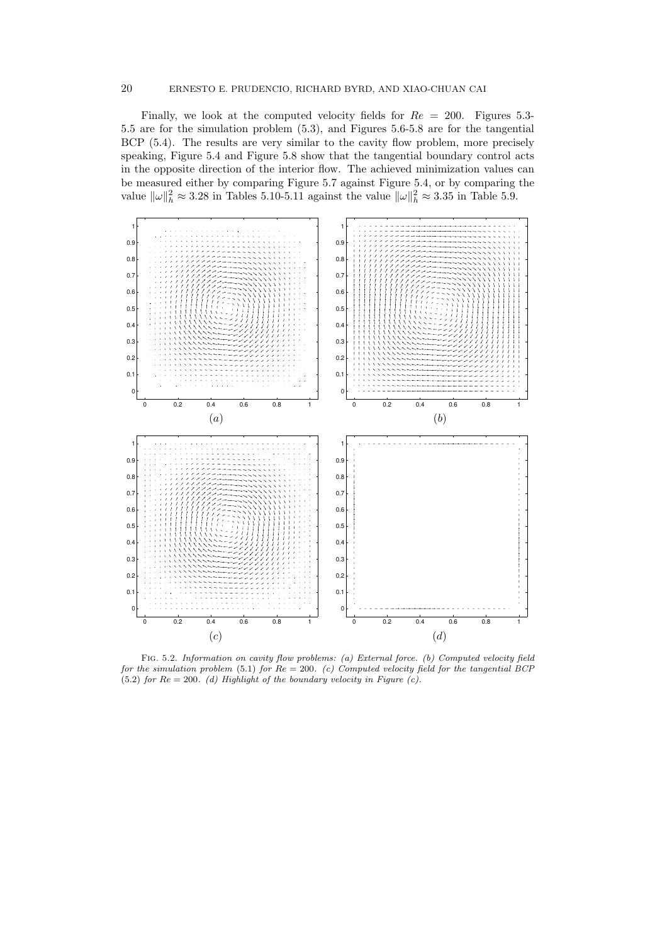Finally, we look at the computed velocity fields for  $Re = 200$ . Figures 5.3-5.5 are for the simulation problem (5.3), and Figures 5.6-5.8 are for the tangential BCP (5.4). The results are very similar to the cavity flow problem, more precisely speaking, Figure 5.4 and Figure 5.8 show that the tangential boundary control acts in the opposite direction of the interior flow. The achieved minimization values can be measured either by comparing Figure 5.7 against Figure 5.4, or by comparing the value  $\|\omega\|_h^2 \approx 3.28$  in Tables 5.10-5.11 against the value  $\|\omega\|_h^2 \approx 3.35$  in Table 5.9.



Fig. 5.2. Information on cavity flow problems: (a) External force. (b) Computed velocity field for the simulation problem  $(5.1)$  for  $Re = 200$ . (c) Computed velocity field for the tangential BCP (5.2) for  $Re = 200$ . (d) Highlight of the boundary velocity in Figure (c).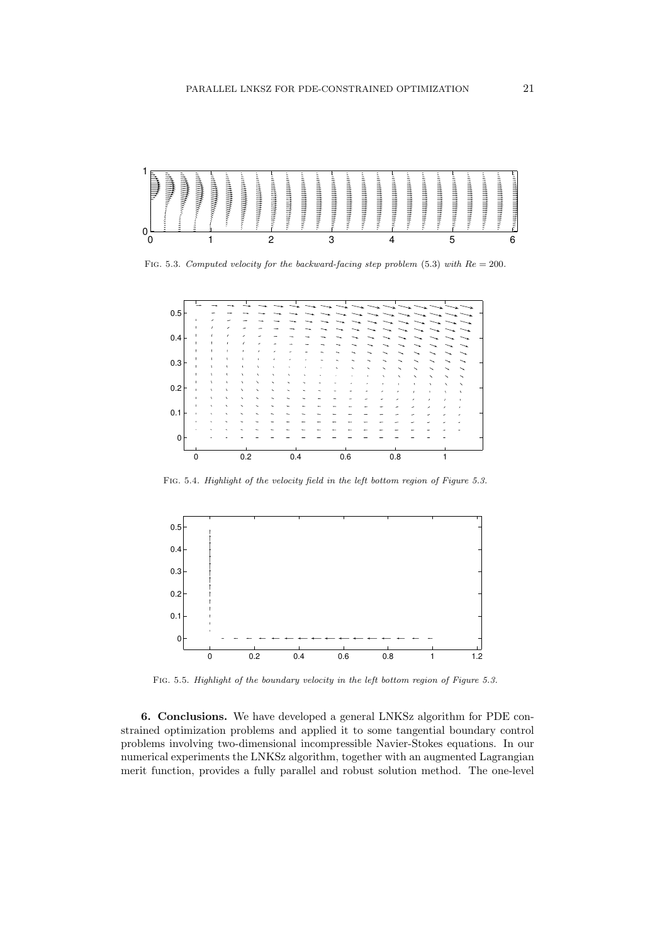

FIG. 5.3. Computed velocity for the backward-facing step problem (5.3) with  $Re = 200$ .



FIG. 5.4. Highlight of the velocity field in the left bottom region of Figure 5.3.



FIG. 5.5. Highlight of the boundary velocity in the left bottom region of Figure 5.3.

6. Conclusions. We have developed a general LNKSz algorithm for PDE constrained optimization problems and applied it to some tangential boundary control problems involving two-dimensional incompressible Navier-Stokes equations. In our numerical experiments the LNKSz algorithm, together with an augmented Lagrangian merit function, provides a fully parallel and robust solution method. The one-level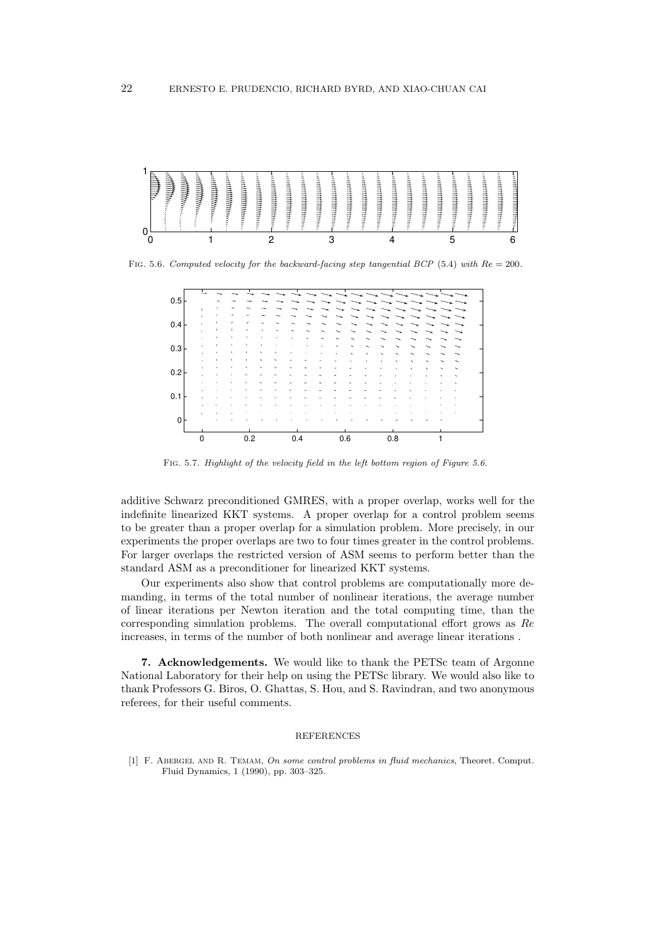

FIG. 5.6. Computed velocity for the backward-facing step tangential BCP (5.4) with  $Re = 200$ .

| 0.5 |             |   |     |           |   |     |  |     |                          |   |     |   |   |    |           |   |
|-----|-------------|---|-----|-----------|---|-----|--|-----|--------------------------|---|-----|---|---|----|-----------|---|
|     |             |   |     |           |   |     |  |     |                          |   |     |   |   |    |           |   |
|     |             | ٠ |     |           |   |     |  |     |                          |   |     |   |   |    |           |   |
| 0.4 |             |   |     |           |   |     |  |     |                          |   |     |   |   |    |           |   |
|     |             |   |     |           |   |     |  |     |                          |   |     |   |   |    |           |   |
|     |             |   |     |           |   |     |  |     |                          |   |     |   |   |    |           |   |
| 0.3 |             |   |     |           |   |     |  |     | $\overline{\phantom{a}}$ | ╮ | ╮   |   |   |    |           |   |
|     |             | ٠ | ۸   |           | ٠ |     |  |     | ٠                        | ۰ | ╮   |   |   |    |           |   |
|     |             |   | ٠   | $\lambda$ |   |     |  |     |                          |   | ٠   | ٠ | × | ۰. |           | ∽ |
| 0.2 |             |   |     |           |   |     |  |     |                          |   |     |   | x | ↖  | ×         | ∽ |
|     |             |   |     |           |   |     |  |     |                          |   |     |   |   |    | $\ddot{}$ |   |
|     |             |   |     |           |   |     |  |     |                          |   |     |   |   |    |           |   |
|     |             |   |     |           |   |     |  |     |                          |   |     |   |   |    |           |   |
| 0.1 |             |   |     |           |   |     |  |     |                          |   |     |   |   |    |           |   |
|     |             |   |     |           |   |     |  |     |                          |   |     |   |   |    |           |   |
|     |             |   |     |           |   |     |  |     |                          |   |     |   |   |    |           |   |
| 0   |             |   |     |           |   |     |  |     |                          |   |     |   |   |    |           |   |
|     |             |   |     |           |   |     |  |     |                          |   |     |   |   |    |           |   |
|     | $\mathbf 0$ |   | 0.2 |           |   | 0.4 |  | 0.6 |                          |   | 0.8 |   |   |    |           |   |

Fig. 5.7. Highlight of the velocity field in the left bottom region of Figure 5.6.

additive Schwarz preconditioned GMRES, with a proper overlap, works well for the indefinite linearized KKT systems. A proper overlap for a control problem seems to be greater than a proper overlap for a simulation problem. More precisely, in our experiments the proper overlaps are two to four times greater in the control problems. For larger overlaps the restricted version of ASM seems to perform better than the standard ASM as a preconditioner for linearized KKT systems.

Our experiments also show that control problems are computationally more demanding, in terms of the total number of nonlinear iterations, the average number of linear iterations per Newton iteration and the total computing time, than the corresponding simulation problems. The overall computational effort grows as Re increases, in terms of the number of both nonlinear and average linear iterations .

7. Acknowledgements. We would like to thank the PETSc team of Argonne National Laboratory for their help on using the PETSc library. We would also like to thank Professors G. Biros, O. Ghattas, S. Hou, and S. Ravindran, and two anonymous referees, for their useful comments.

# REFERENCES

[1] F. Abergel and R. Temam, On some control problems in fluid mechanics, Theoret. Comput. Fluid Dynamics, 1 (1990), pp. 303–325.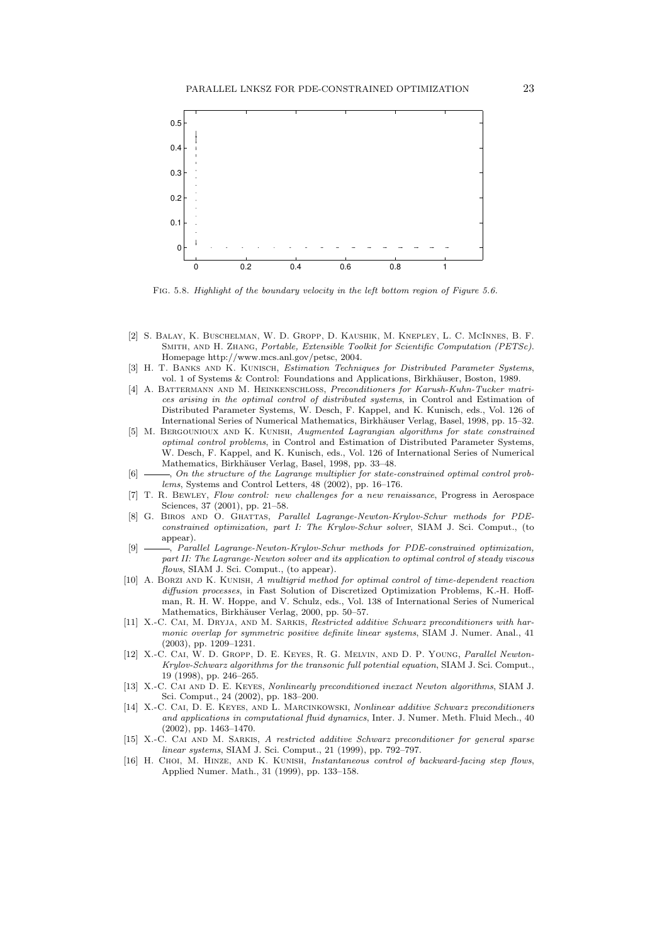

Fig. 5.8. Highlight of the boundary velocity in the left bottom region of Figure 5.6.

- [2] S. Balay, K. Buschelman, W. D. Gropp, D. Kaushik, M. Knepley, L. C. McInnes, B. F. Smith, and H. Zhang, Portable, Extensible Toolkit for Scientific Computation (PETSc). Homepage http://www.mcs.anl.gov/petsc, 2004.
- [3] H. T. BANKS AND K. KUNISCH, Estimation Techniques for Distributed Parameter Systems, vol. 1 of Systems & Control: Foundations and Applications, Birkhäuser, Boston, 1989.
- [4] A. BATTERMANN AND M. HEINKENSCHLOSS, Preconditioners for Karush-Kuhn-Tucker matrices arising in the optimal control of distributed systems, in Control and Estimation of Distributed Parameter Systems, W. Desch, F. Kappel, and K. Kunisch, eds., Vol. 126 of International Series of Numerical Mathematics, Birkhäuser Verlag, Basel, 1998, pp. 15–32.
- [5] M. Bergounioux and K. Kunish, Augmented Lagrangian algorithms for state constrained optimal control problems, in Control and Estimation of Distributed Parameter Systems, W. Desch, F. Kappel, and K. Kunisch, eds., Vol. 126 of International Series of Numerical Mathematics, Birkhäuser Verlag, Basel, 1998, pp. 33-48.
- [6]  $\longrightarrow$ , On the structure of the Lagrange multiplier for state-constrained optimal control problems, Systems and Control Letters, 48 (2002), pp. 16–176.
- [7] T. R. Bewley, Flow control: new challenges for a new renaissance, Progress in Aerospace Sciences, 37 (2001), pp. 21–58.
- [8] G. BIROS AND O. GHATTAS, Parallel Lagrange-Newton-Krylov-Schur methods for PDEconstrained optimization, part I: The Krylov-Schur solver, SIAM J. Sci. Comput., (to appear).
- [9]  $\_\_\_\_\$ n Parallel Lagrange-Newton-Krylov-Schur methods for PDE-constrained optimization, part II: The Lagrange-Newton solver and its application to optimal control of steady viscous flows, SIAM J. Sci. Comput., (to appear).
- [10] A. BORZI AND K. KUNISH, A multigrid method for optimal control of time-dependent reaction diffusion processes, in Fast Solution of Discretized Optimization Problems, K.-H. Hoffman, R. H. W. Hoppe, and V. Schulz, eds., Vol. 138 of International Series of Numerical Mathematics, Birkhäuser Verlag, 2000, pp. 50–57.
- [11] X.-C. CAI, M. DRYJA, AND M. SARKIS, Restricted additive Schwarz preconditioners with harmonic overlap for symmetric positive definite linear systems, SIAM J. Numer. Anal., 41 (2003), pp. 1209–1231.
- [12] X.-C. Cai, W. D. Gropp, D. E. Keyes, R. G. Melvin, and D. P. Young, Parallel Newton-Krylov-Schwarz algorithms for the transonic full potential equation, SIAM J. Sci. Comput., 19 (1998), pp. 246–265.
- [13] X.-C. Cai and D. E. Keyes, Nonlinearly preconditioned inexact Newton algorithms, SIAM J. Sci. Comput., 24 (2002), pp. 183–200.
- [14] X.-C. Cai, D. E. Keyes, and L. Marcinkowski, Nonlinear additive Schwarz preconditioners and applications in computational fluid dynamics, Inter. J. Numer. Meth. Fluid Mech., 40 (2002), pp. 1463–1470.
- [15] X.-C. Cai and M. Sarkis, A restricted additive Schwarz preconditioner for general sparse linear systems, SIAM J. Sci. Comput., 21 (1999), pp. 792–797.
- [16] H. CHOI, M. HINZE, AND K. KUNISH, *Instantaneous control of backward-facing step flows*, Applied Numer. Math., 31 (1999), pp. 133–158.